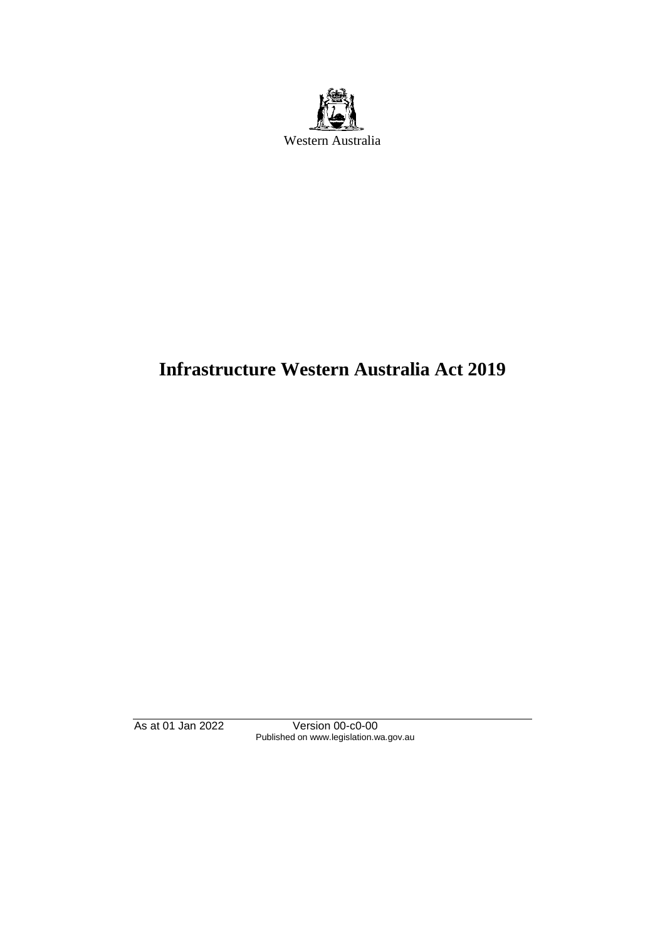

# **Infrastructure Western Australia Act 2019**

As at 01 Jan 2022 Version 00-c0-00 Published on www.legislation.wa.gov.au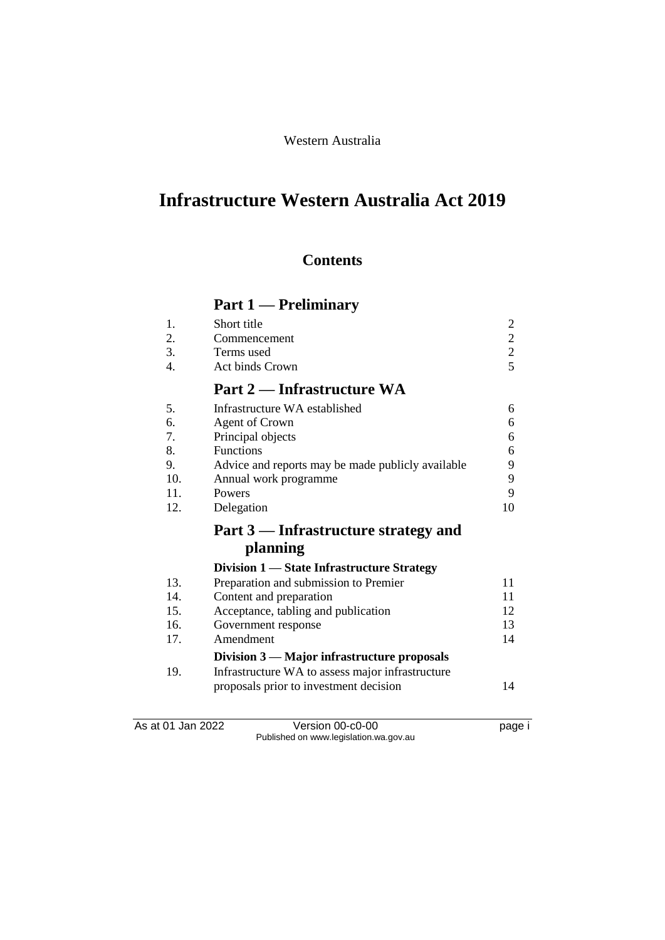## Western Australia

# **Infrastructure Western Australia Act 2019**

## **Contents**

# **Part 1 — Preliminary**

| 1.               | Short title                                       | $\overline{c}$                             |
|------------------|---------------------------------------------------|--------------------------------------------|
| 2.               | Commencement                                      | $\begin{array}{c} 2 \\ 2 \\ 5 \end{array}$ |
| 3.               | Terms used                                        |                                            |
| $\overline{4}$ . | <b>Act binds Crown</b>                            |                                            |
|                  | Part 2 — Infrastructure WA                        |                                            |
| 5.               | Infrastructure WA established                     | 6                                          |
| 6.               | <b>Agent of Crown</b>                             | 6                                          |
| 7.               | Principal objects                                 | 6                                          |
| 8.               | <b>Functions</b>                                  | 6                                          |
| 9.               | Advice and reports may be made publicly available | 9                                          |
| 10.              | Annual work programme                             | 9                                          |
| 11.              | Powers                                            | 9                                          |
| 12.              | Delegation                                        | 10                                         |
|                  | Part 3 — Infrastructure strategy and              |                                            |
|                  | planning                                          |                                            |
|                  | Division 1 - State Infrastructure Strategy        |                                            |
| 13.              | Preparation and submission to Premier             | 11                                         |
| 14.              | Content and preparation                           | 11                                         |
| 15.              | Acceptance, tabling and publication               | 12                                         |
| 16.              | Government response                               | 13                                         |
| 17.              | Amendment                                         | 14                                         |
|                  | Division 3 — Major infrastructure proposals       |                                            |
| 19.              | Infrastructure WA to assess major infrastructure  |                                            |
|                  | proposals prior to investment decision            | 14                                         |

As at 01 Jan 2022 Version 00-c0-00 Page i Published on www.legislation.wa.gov.au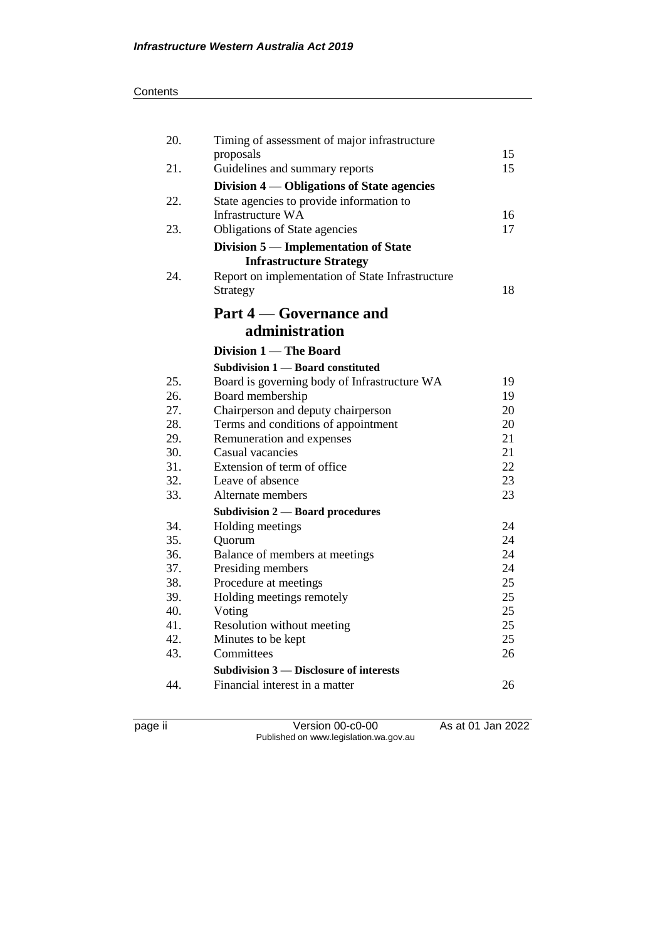#### **Contents**

| 20.        | Timing of assessment of major infrastructure                           |    |
|------------|------------------------------------------------------------------------|----|
|            | proposals                                                              | 15 |
| 21.        | Guidelines and summary reports                                         | 15 |
|            | Division 4 — Obligations of State agencies                             |    |
| 22.        | State agencies to provide information to                               |    |
|            | Infrastructure WA                                                      | 16 |
| 23.        | Obligations of State agencies                                          | 17 |
|            | Division 5 - Implementation of State<br><b>Infrastructure Strategy</b> |    |
| 24.        | Report on implementation of State Infrastructure<br>Strategy           | 18 |
|            | <b>Part 4 – Governance and</b>                                         |    |
|            | administration                                                         |    |
|            | Division 1 — The Board                                                 |    |
|            | Subdivision 1 - Board constituted                                      |    |
| 25.        | Board is governing body of Infrastructure WA                           | 19 |
| 26.        | Board membership                                                       | 19 |
| 27.        | Chairperson and deputy chairperson                                     | 20 |
| 28.        | Terms and conditions of appointment                                    | 20 |
| 29.        | Remuneration and expenses                                              | 21 |
| 30.        | Casual vacancies                                                       | 21 |
| 31.        | Extension of term of office                                            | 22 |
| 32.        | Leave of absence                                                       | 23 |
| 33.        | Alternate members                                                      | 23 |
|            | <b>Subdivision 2 — Board procedures</b>                                | 24 |
| 34.<br>35. | Holding meetings<br>Quorum                                             | 24 |
| 36.        | Balance of members at meetings                                         | 24 |
| 37.        | Presiding members                                                      | 24 |
| 38.        | Procedure at meetings                                                  | 25 |
| 39.        | Holding meetings remotely                                              | 25 |
| 40.        | Voting                                                                 | 25 |
| 41.        | Resolution without meeting                                             | 25 |
| 42.        | Minutes to be kept                                                     | 25 |
| 43.        | Committees                                                             | 26 |
|            | <b>Subdivision 3 — Disclosure of interests</b>                         |    |
| 44.        | Financial interest in a matter                                         | 26 |
|            |                                                                        |    |

page ii Version 00-c0-00 As at 01 Jan 2022 Published on www.legislation.wa.gov.au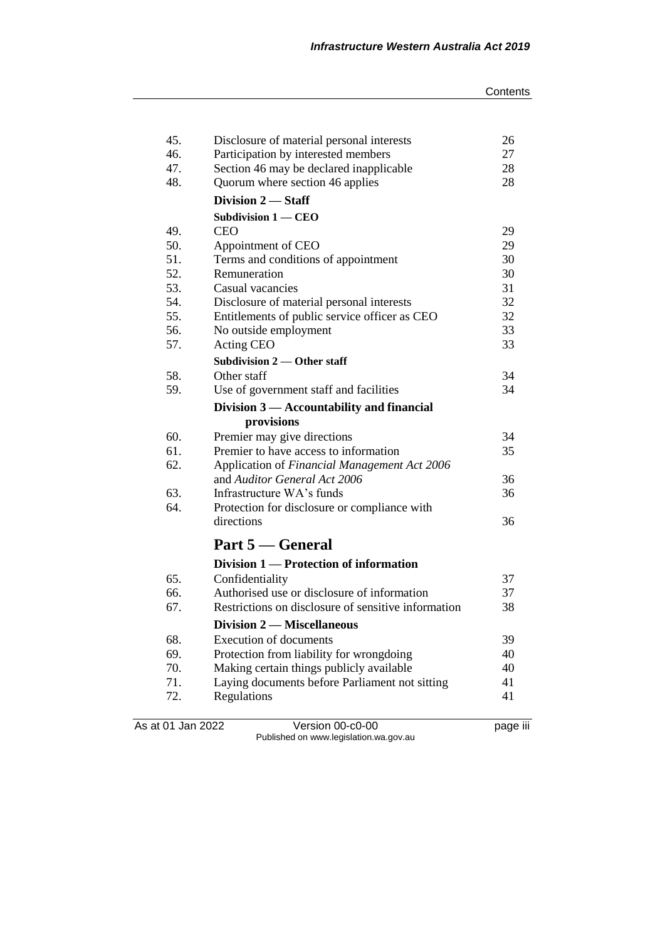| 45.<br>46.<br>47. | Disclosure of material personal interests<br>Participation by interested members<br>Section 46 may be declared inapplicable | 26<br>27<br>28 |
|-------------------|-----------------------------------------------------------------------------------------------------------------------------|----------------|
| 48.               | Quorum where section 46 applies                                                                                             | 28             |
|                   | Division 2 - Staff                                                                                                          |                |
|                   | Subdivision $1 -$ CEO                                                                                                       |                |
| 49.               | <b>CEO</b>                                                                                                                  | 29             |
| 50.               | Appointment of CEO                                                                                                          | 29             |
| 51.               | Terms and conditions of appointment                                                                                         | 30             |
| 52.               | Remuneration                                                                                                                | 30             |
| 53.               | Casual vacancies                                                                                                            | 31             |
| 54.               | Disclosure of material personal interests                                                                                   | 32             |
| 55.               | Entitlements of public service officer as CEO                                                                               | 32             |
| 56.               | No outside employment                                                                                                       | 33             |
| 57.               | Acting CEO                                                                                                                  | 33             |
|                   | <b>Subdivision 2 — Other staff</b>                                                                                          |                |
| 58.               | Other staff                                                                                                                 | 34             |
| 59.               | Use of government staff and facilities                                                                                      | 34             |
|                   | Division 3 — Accountability and financial                                                                                   |                |
|                   | provisions                                                                                                                  |                |
| 60.               | Premier may give directions                                                                                                 | 34             |
| 61.               | Premier to have access to information                                                                                       | 35             |
| 62.               | Application of Financial Management Act 2006                                                                                |                |
|                   | and Auditor General Act 2006                                                                                                | 36             |
| 63.               | Infrastructure WA's funds                                                                                                   | 36             |
| 64.               | Protection for disclosure or compliance with                                                                                |                |
|                   | directions                                                                                                                  | 36             |
|                   | Part 5 — General                                                                                                            |                |
|                   | Division 1 — Protection of information                                                                                      |                |
| 65.               | Confidentiality                                                                                                             | 37             |
| 66.               | Authorised use or disclosure of information                                                                                 | 37             |
| 67.               | Restrictions on disclosure of sensitive information                                                                         | 38             |
|                   | <b>Division 2 – Miscellaneous</b>                                                                                           |                |
| 68.               | <b>Execution of documents</b>                                                                                               | 39             |
| 69.               | Protection from liability for wrongdoing                                                                                    | 40             |
| 70.               | Making certain things publicly available                                                                                    | 40             |
| 71.               | Laying documents before Parliament not sitting                                                                              | 41             |
| 72.               | Regulations                                                                                                                 | 41             |
|                   |                                                                                                                             |                |

As at 01 Jan 2022 Version 00-c0-00 page iii Published on www.legislation.wa.gov.au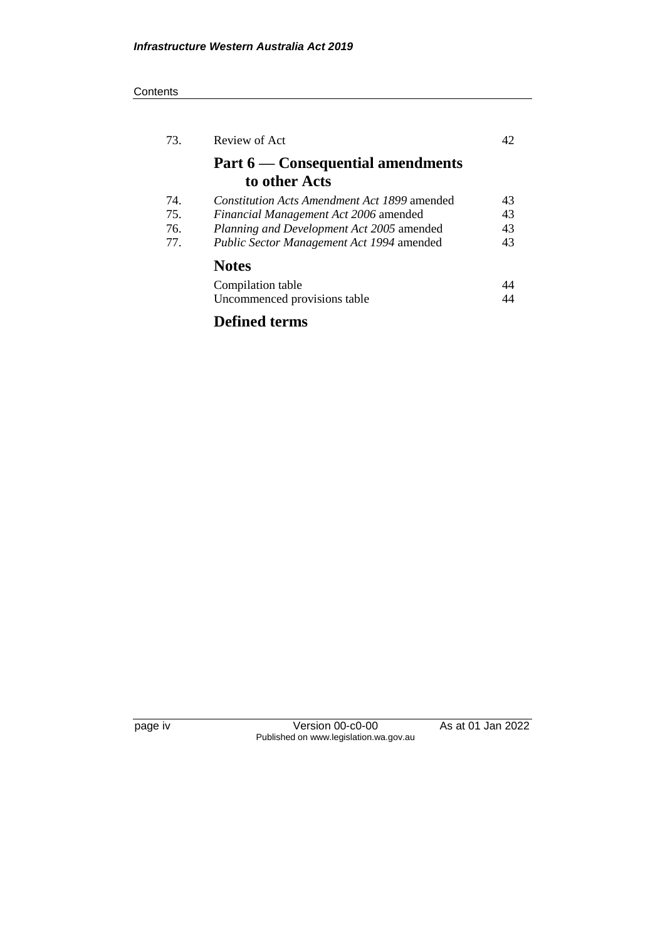#### **Contents**

| 73. | Review of Act                                      | 42 |
|-----|----------------------------------------------------|----|
|     | Part 6 — Consequential amendments<br>to other Acts |    |
| 74. | Constitution Acts Amendment Act 1899 amended       | 43 |
| 75. | Financial Management Act 2006 amended              | 43 |
| 76. | Planning and Development Act 2005 amended          | 43 |
| 77. | Public Sector Management Act 1994 amended          | 43 |
|     | <b>Notes</b>                                       |    |
|     | Compilation table                                  | 44 |
|     | Uncommenced provisions table                       | 44 |
|     | . .                                                |    |

## **Defined terms**

page iv Version 00-c0-00 As at 01 Jan 2022 Published on www.legislation.wa.gov.au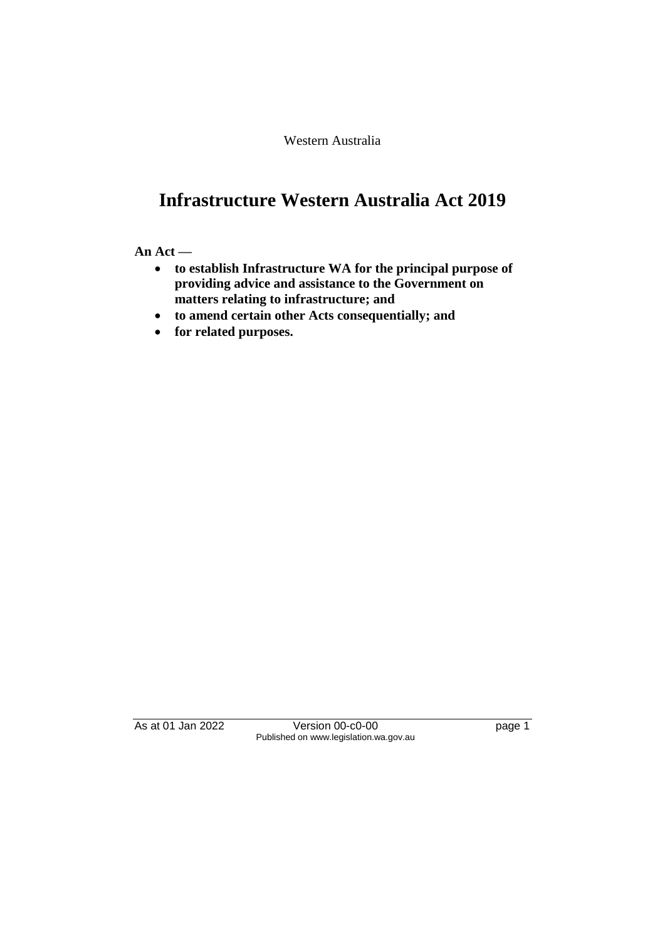Western Australia

# **Infrastructure Western Australia Act 2019**

#### **An Act —**

- **to establish Infrastructure WA for the principal purpose of providing advice and assistance to the Government on matters relating to infrastructure; and**
- **to amend certain other Acts consequentially; and**
- **for related purposes.**

As at 01 Jan 2022 Version 00-c0-00 Page 1 Published on www.legislation.wa.gov.au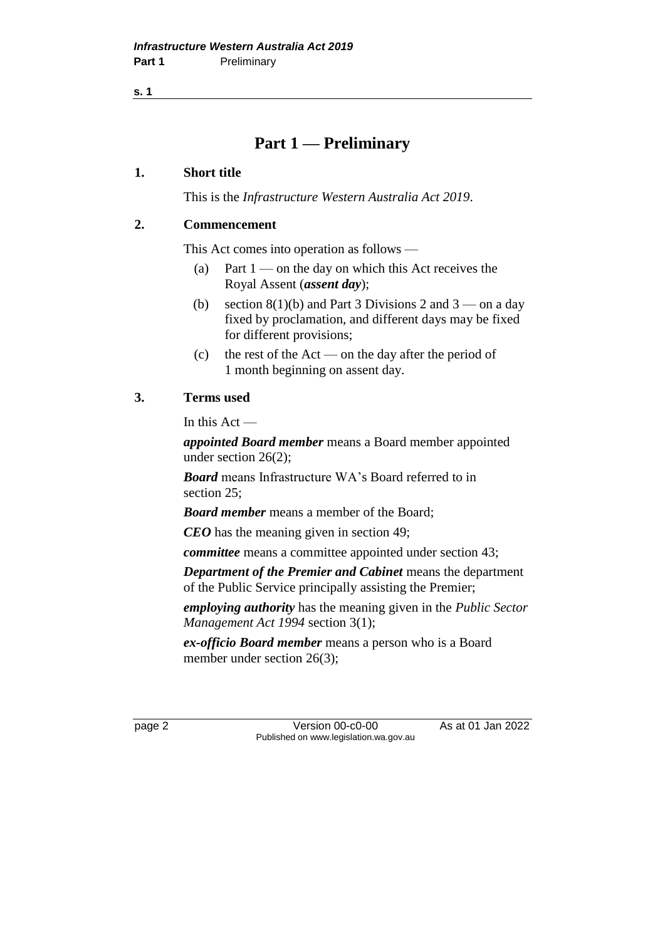**s. 1**

## **Part 1 — Preliminary**

#### **1. Short title**

This is the *Infrastructure Western Australia Act 2019*.

#### **2. Commencement**

This Act comes into operation as follows —

- (a) Part  $1$  on the day on which this Act receives the Royal Assent (*assent day*);
- (b) section  $8(1)(b)$  and Part 3 Divisions 2 and 3 on a day fixed by proclamation, and different days may be fixed for different provisions;
- (c) the rest of the Act on the day after the period of 1 month beginning on assent day.

## **3. Terms used**

In this Act —

*appointed Board member* means a Board member appointed under section 26(2);

*Board* means Infrastructure WA's Board referred to in section 25;

*Board member* means a member of the Board;

*CEO* has the meaning given in section 49;

*committee* means a committee appointed under section 43;

*Department of the Premier and Cabinet* means the department of the Public Service principally assisting the Premier;

*employing authority* has the meaning given in the *Public Sector Management Act 1994* section 3(1);

*ex-officio Board member* means a person who is a Board member under section 26(3);

page 2 Version 00-c0-00 As at 01 Jan 2022 Published on www.legislation.wa.gov.au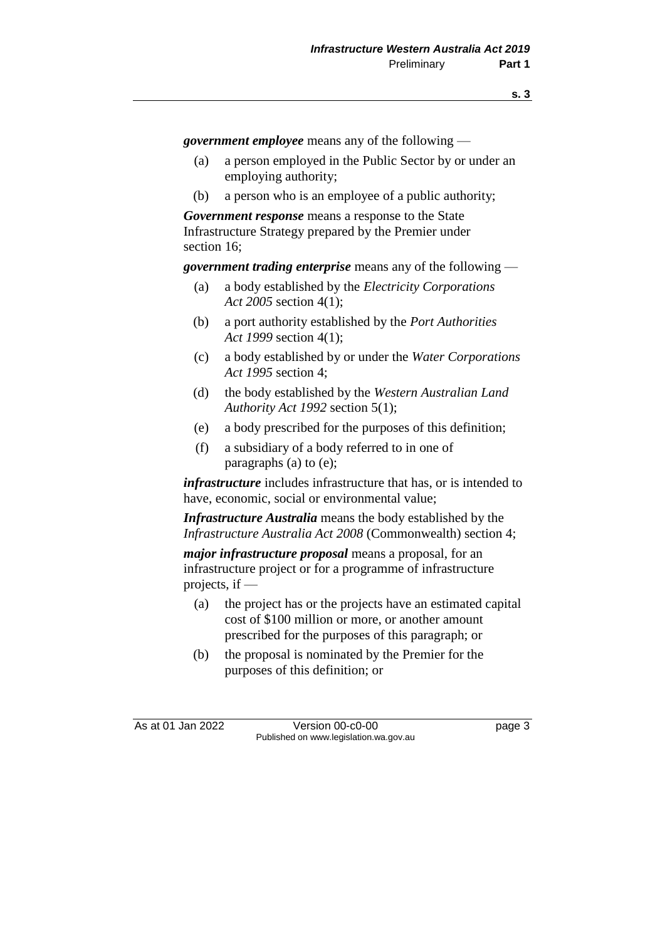*government employee* means any of the following —

- (a) a person employed in the Public Sector by or under an employing authority;
- (b) a person who is an employee of a public authority;

*Government response* means a response to the State Infrastructure Strategy prepared by the Premier under section 16;

*government trading enterprise* means any of the following —

- (a) a body established by the *Electricity Corporations Act 2005* section 4(1);
- (b) a port authority established by the *Port Authorities Act 1999* section 4(1);
- (c) a body established by or under the *Water Corporations Act 1995* section 4;
- (d) the body established by the *Western Australian Land Authority Act 1992* section 5(1);
- (e) a body prescribed for the purposes of this definition;
- (f) a subsidiary of a body referred to in one of paragraphs (a) to (e);

*infrastructure* includes infrastructure that has, or is intended to have, economic, social or environmental value;

*Infrastructure Australia* means the body established by the *Infrastructure Australia Act 2008* (Commonwealth) section 4;

*major infrastructure proposal* means a proposal, for an infrastructure project or for a programme of infrastructure projects, if —

- (a) the project has or the projects have an estimated capital cost of \$100 million or more, or another amount prescribed for the purposes of this paragraph; or
- (b) the proposal is nominated by the Premier for the purposes of this definition; or

As at 01 Jan 2022 Version 00-c0-00 Page 3 Published on www.legislation.wa.gov.au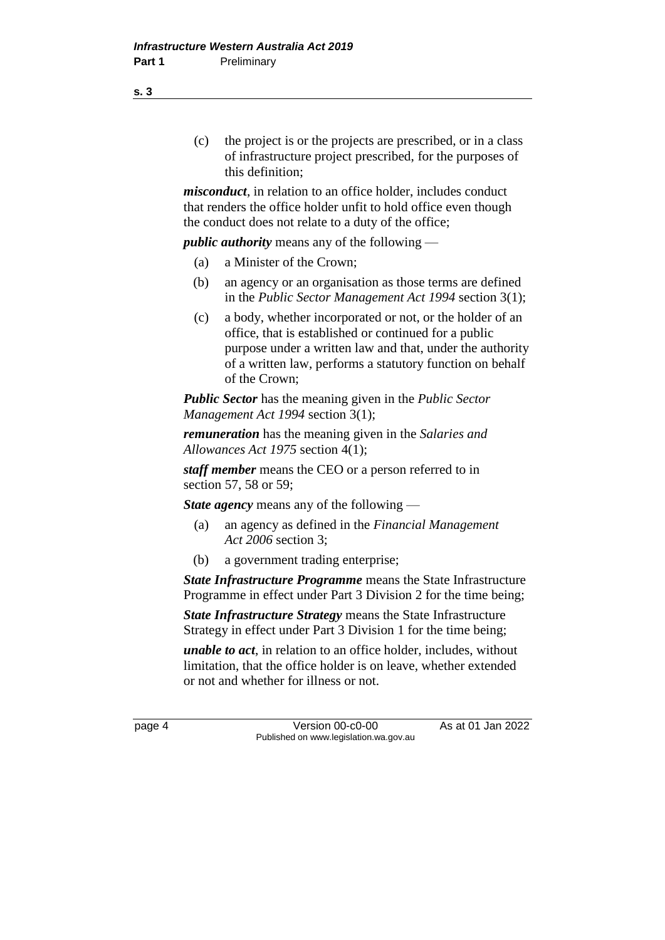(c) the project is or the projects are prescribed, or in a class of infrastructure project prescribed, for the purposes of this definition;

*misconduct*, in relation to an office holder, includes conduct that renders the office holder unfit to hold office even though the conduct does not relate to a duty of the office;

*public authority* means any of the following —

- (a) a Minister of the Crown;
- (b) an agency or an organisation as those terms are defined in the *Public Sector Management Act 1994* section 3(1);
- (c) a body, whether incorporated or not, or the holder of an office, that is established or continued for a public purpose under a written law and that, under the authority of a written law, performs a statutory function on behalf of the Crown;

*Public Sector* has the meaning given in the *Public Sector Management Act 1994* section 3(1);

*remuneration* has the meaning given in the *Salaries and Allowances Act 1975* section 4(1);

*staff member* means the CEO or a person referred to in section 57, 58 or 59;

*State agency* means any of the following —

- (a) an agency as defined in the *Financial Management Act 2006* section 3;
- (b) a government trading enterprise;

*State Infrastructure Programme* means the State Infrastructure Programme in effect under Part 3 Division 2 for the time being;

*State Infrastructure Strategy* means the State Infrastructure Strategy in effect under Part 3 Division 1 for the time being;

*unable to act*, in relation to an office holder, includes, without limitation, that the office holder is on leave, whether extended or not and whether for illness or not.

page 4 Version 00-c0-00 As at 01 Jan 2022 Published on www.legislation.wa.gov.au

**s. 3**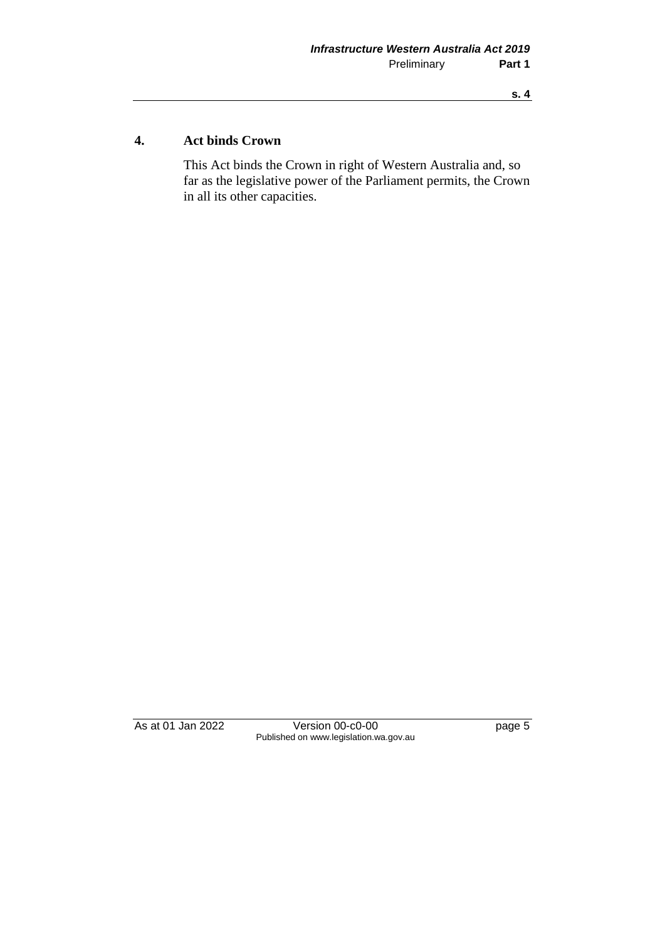#### **s. 4**

## **4. Act binds Crown**

This Act binds the Crown in right of Western Australia and, so far as the legislative power of the Parliament permits, the Crown in all its other capacities.

As at 01 Jan 2022 Version 00-c0-00 Page 5 Published on www.legislation.wa.gov.au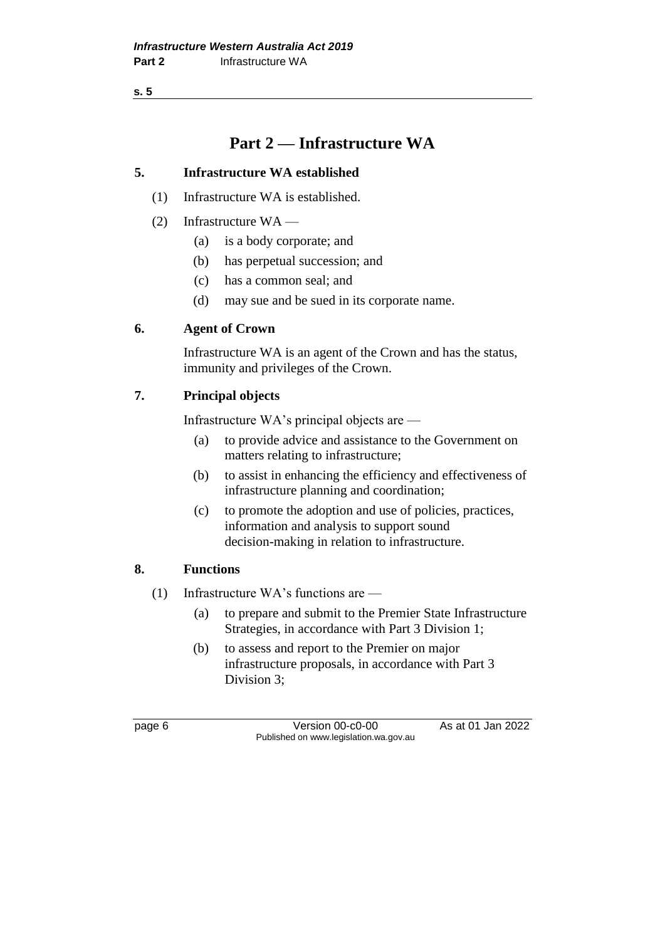**s. 5**

## **Part 2 — Infrastructure WA**

## **5. Infrastructure WA established**

- (1) Infrastructure WA is established.
- (2) Infrastructure WA
	- (a) is a body corporate; and
	- (b) has perpetual succession; and
	- (c) has a common seal; and
	- (d) may sue and be sued in its corporate name.

## **6. Agent of Crown**

Infrastructure WA is an agent of the Crown and has the status, immunity and privileges of the Crown.

## **7. Principal objects**

Infrastructure WA's principal objects are —

- (a) to provide advice and assistance to the Government on matters relating to infrastructure;
- (b) to assist in enhancing the efficiency and effectiveness of infrastructure planning and coordination;
- (c) to promote the adoption and use of policies, practices, information and analysis to support sound decision-making in relation to infrastructure.

## **8. Functions**

- (1) Infrastructure WA's functions are
	- (a) to prepare and submit to the Premier State Infrastructure Strategies, in accordance with Part 3 Division 1;
	- (b) to assess and report to the Premier on major infrastructure proposals, in accordance with Part 3 Division 3;

page 6 Version 00-c0-00 As at 01 Jan 2022 Published on www.legislation.wa.gov.au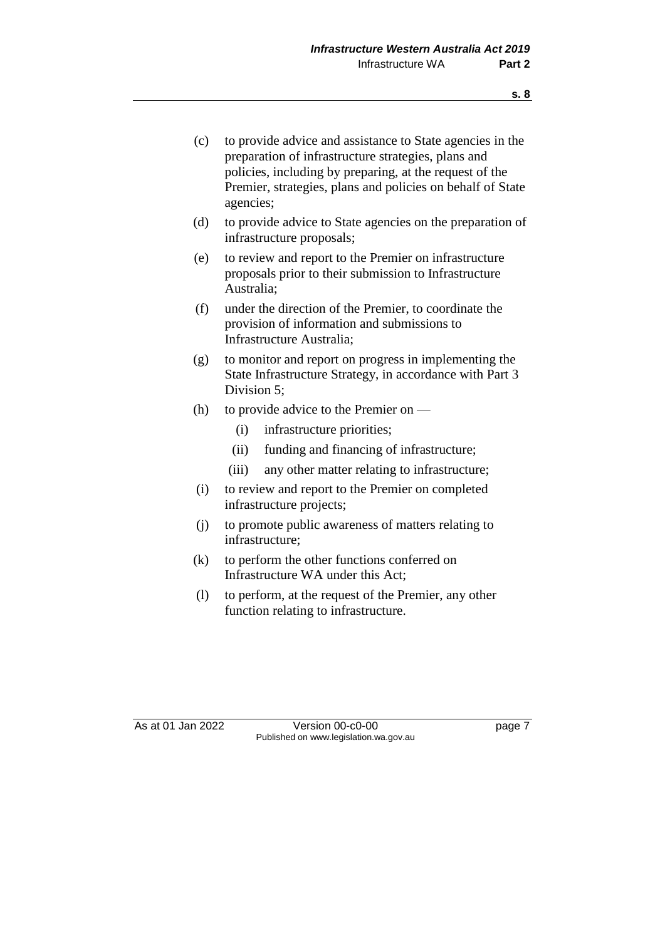| (c) | to provide advice and assistance to State agencies in the<br>preparation of infrastructure strategies, plans and<br>policies, including by preparing, at the request of the<br>Premier, strategies, plans and policies on behalf of State<br>agencies; |  |  |
|-----|--------------------------------------------------------------------------------------------------------------------------------------------------------------------------------------------------------------------------------------------------------|--|--|
| (d) | to provide advice to State agencies on the preparation of<br>infrastructure proposals;                                                                                                                                                                 |  |  |
| (e) | to review and report to the Premier on infrastructure<br>proposals prior to their submission to Infrastructure<br>Australia:                                                                                                                           |  |  |
| (f) | under the direction of the Premier, to coordinate the<br>provision of information and submissions to<br>Infrastructure Australia:                                                                                                                      |  |  |
| (g) | to monitor and report on progress in implementing the<br>State Infrastructure Strategy, in accordance with Part 3<br>Division 5:                                                                                                                       |  |  |
| (h) | to provide advice to the Premier on —                                                                                                                                                                                                                  |  |  |
|     | infrastructure priorities;<br>(i)                                                                                                                                                                                                                      |  |  |
|     | funding and financing of infrastructure;<br>(ii)                                                                                                                                                                                                       |  |  |
|     | (iii)<br>any other matter relating to infrastructure;                                                                                                                                                                                                  |  |  |
| (i) | to review and report to the Premier on completed<br>infrastructure projects;                                                                                                                                                                           |  |  |
| (i) | to promote public awareness of matters relating to<br>infrastructure;                                                                                                                                                                                  |  |  |
| (k) | to perform the other functions conferred on<br>Infrastructure WA under this Act;                                                                                                                                                                       |  |  |
| (1) | to perform, at the request of the Premier, any other<br>function relating to infrastructure.                                                                                                                                                           |  |  |
|     |                                                                                                                                                                                                                                                        |  |  |

As at 01 Jan 2022 Version 00-c0-00 page 7 Published on www.legislation.wa.gov.au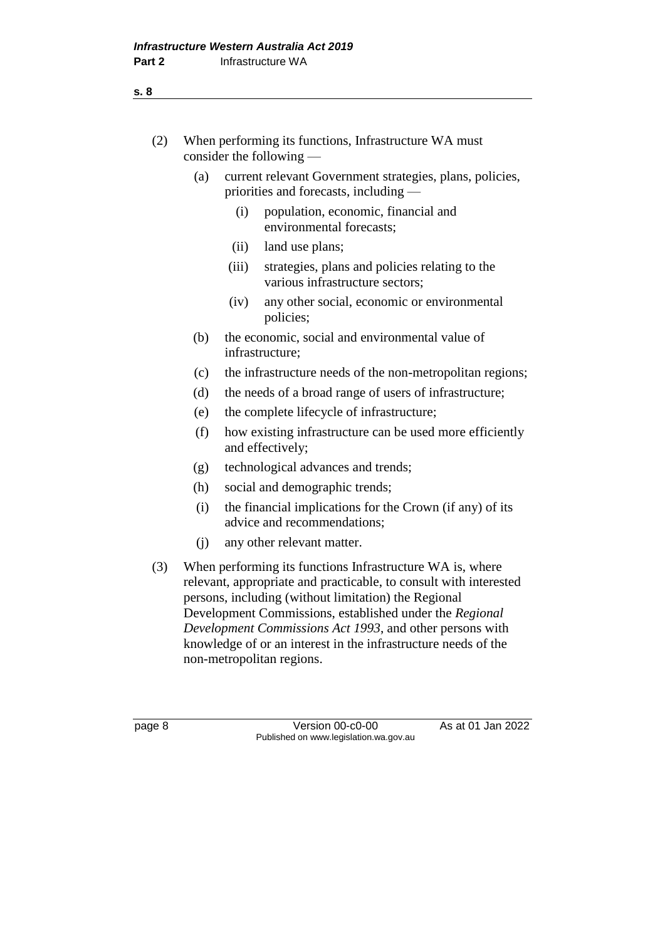| (2) | When performing its functions, Infrastructure WA must |
|-----|-------------------------------------------------------|
|     | consider the following $-$                            |

- (a) current relevant Government strategies, plans, policies, priorities and forecasts, including —
	- (i) population, economic, financial and environmental forecasts;
	- (ii) land use plans;
	- (iii) strategies, plans and policies relating to the various infrastructure sectors;
	- (iv) any other social, economic or environmental policies;
- (b) the economic, social and environmental value of infrastructure;
- (c) the infrastructure needs of the non-metropolitan regions;
- (d) the needs of a broad range of users of infrastructure;
- (e) the complete lifecycle of infrastructure;
- (f) how existing infrastructure can be used more efficiently and effectively;
- (g) technological advances and trends;
- (h) social and demographic trends;
- (i) the financial implications for the Crown (if any) of its advice and recommendations;
- (j) any other relevant matter.
- (3) When performing its functions Infrastructure WA is, where relevant, appropriate and practicable, to consult with interested persons, including (without limitation) the Regional Development Commissions, established under the *Regional Development Commissions Act 1993*, and other persons with knowledge of or an interest in the infrastructure needs of the non-metropolitan regions.

page 8 Version 00-c0-00 As at 01 Jan 2022 Published on www.legislation.wa.gov.au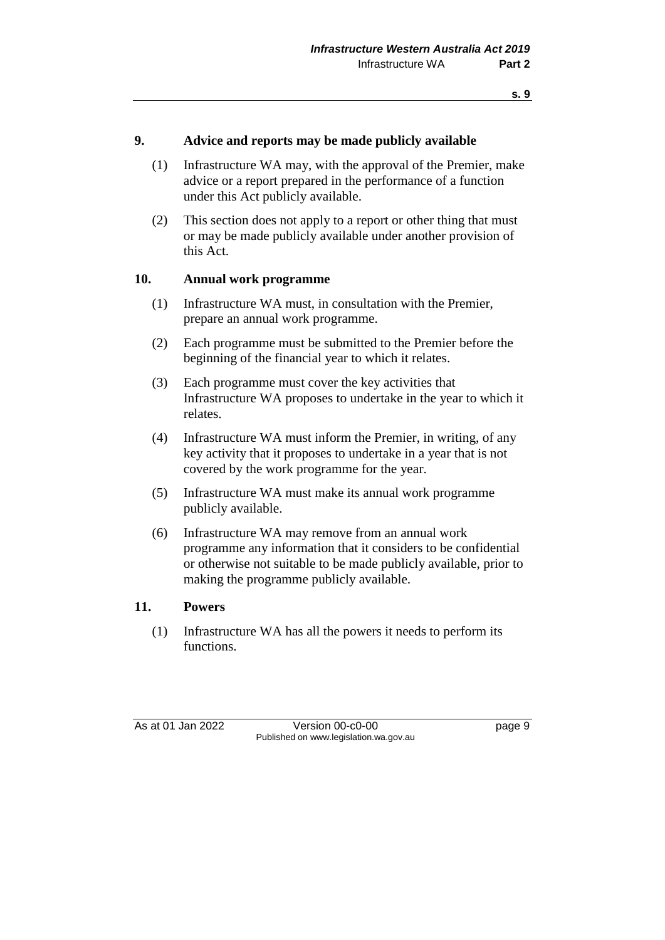#### **9. Advice and reports may be made publicly available**

- (1) Infrastructure WA may, with the approval of the Premier, make advice or a report prepared in the performance of a function under this Act publicly available.
- (2) This section does not apply to a report or other thing that must or may be made publicly available under another provision of this Act.

#### **10. Annual work programme**

- (1) Infrastructure WA must, in consultation with the Premier, prepare an annual work programme.
- (2) Each programme must be submitted to the Premier before the beginning of the financial year to which it relates.
- (3) Each programme must cover the key activities that Infrastructure WA proposes to undertake in the year to which it relates.
- (4) Infrastructure WA must inform the Premier, in writing, of any key activity that it proposes to undertake in a year that is not covered by the work programme for the year.
- (5) Infrastructure WA must make its annual work programme publicly available.
- (6) Infrastructure WA may remove from an annual work programme any information that it considers to be confidential or otherwise not suitable to be made publicly available, prior to making the programme publicly available.

#### **11. Powers**

(1) Infrastructure WA has all the powers it needs to perform its functions.

As at 01 Jan 2022 Version 00-c0-00 Page 9 Published on www.legislation.wa.gov.au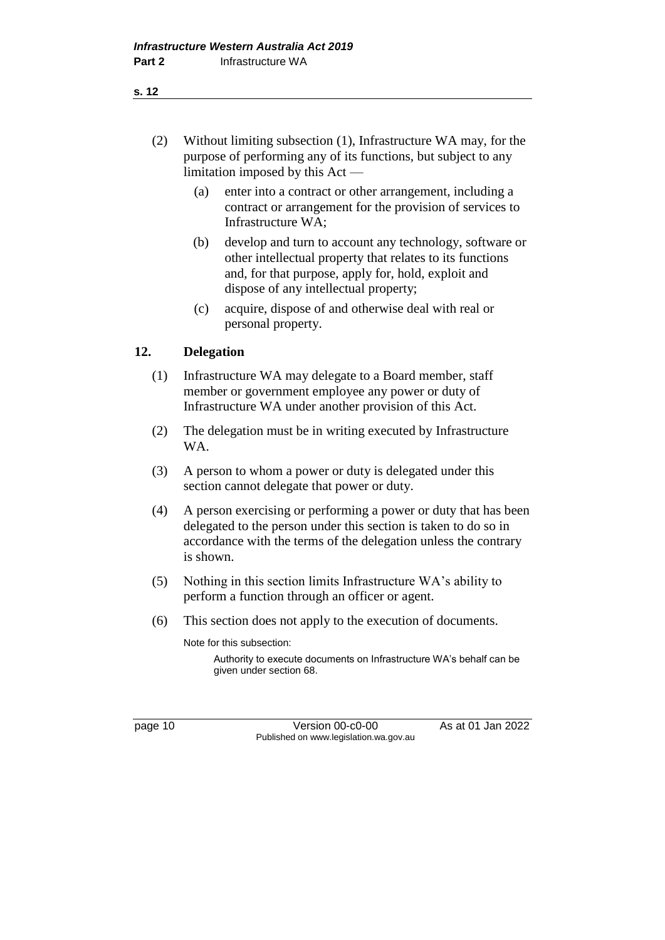- (2) Without limiting subsection (1), Infrastructure WA may, for the purpose of performing any of its functions, but subject to any limitation imposed by this Act —
	- (a) enter into a contract or other arrangement, including a contract or arrangement for the provision of services to Infrastructure WA;
	- (b) develop and turn to account any technology, software or other intellectual property that relates to its functions and, for that purpose, apply for, hold, exploit and dispose of any intellectual property;
	- (c) acquire, dispose of and otherwise deal with real or personal property.

## **12. Delegation**

- (1) Infrastructure WA may delegate to a Board member, staff member or government employee any power or duty of Infrastructure WA under another provision of this Act.
- (2) The delegation must be in writing executed by Infrastructure WA.
- (3) A person to whom a power or duty is delegated under this section cannot delegate that power or duty.
- (4) A person exercising or performing a power or duty that has been delegated to the person under this section is taken to do so in accordance with the terms of the delegation unless the contrary is shown.
- (5) Nothing in this section limits Infrastructure WA's ability to perform a function through an officer or agent.
- (6) This section does not apply to the execution of documents.

Note for this subsection:

Authority to execute documents on Infrastructure WA's behalf can be given under section 68.

page 10 Version 00-c0-00 As at 01 Jan 2022 Published on www.legislation.wa.gov.au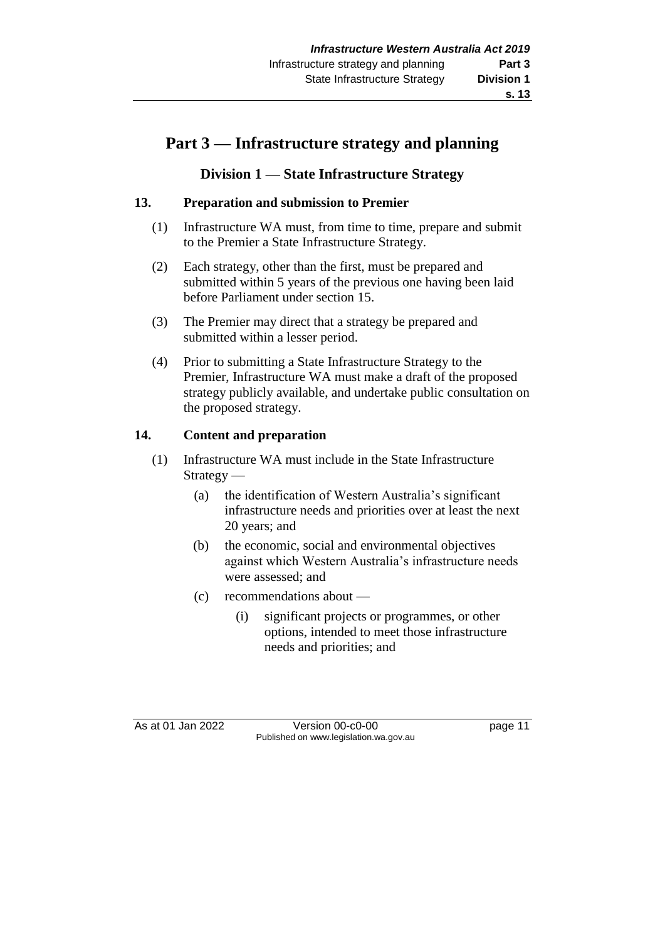## **Part 3 — Infrastructure strategy and planning**

## **Division 1 — State Infrastructure Strategy**

## **13. Preparation and submission to Premier**

- (1) Infrastructure WA must, from time to time, prepare and submit to the Premier a State Infrastructure Strategy.
- (2) Each strategy, other than the first, must be prepared and submitted within 5 years of the previous one having been laid before Parliament under section 15.
- (3) The Premier may direct that a strategy be prepared and submitted within a lesser period.
- (4) Prior to submitting a State Infrastructure Strategy to the Premier, Infrastructure WA must make a draft of the proposed strategy publicly available, and undertake public consultation on the proposed strategy.

## **14. Content and preparation**

- (1) Infrastructure WA must include in the State Infrastructure Strategy —
	- (a) the identification of Western Australia's significant infrastructure needs and priorities over at least the next 20 years; and
	- (b) the economic, social and environmental objectives against which Western Australia's infrastructure needs were assessed; and
	- (c) recommendations about
		- (i) significant projects or programmes, or other options, intended to meet those infrastructure needs and priorities; and

As at 01 Jan 2022 Version 00-c0-00 Page 11 Published on www.legislation.wa.gov.au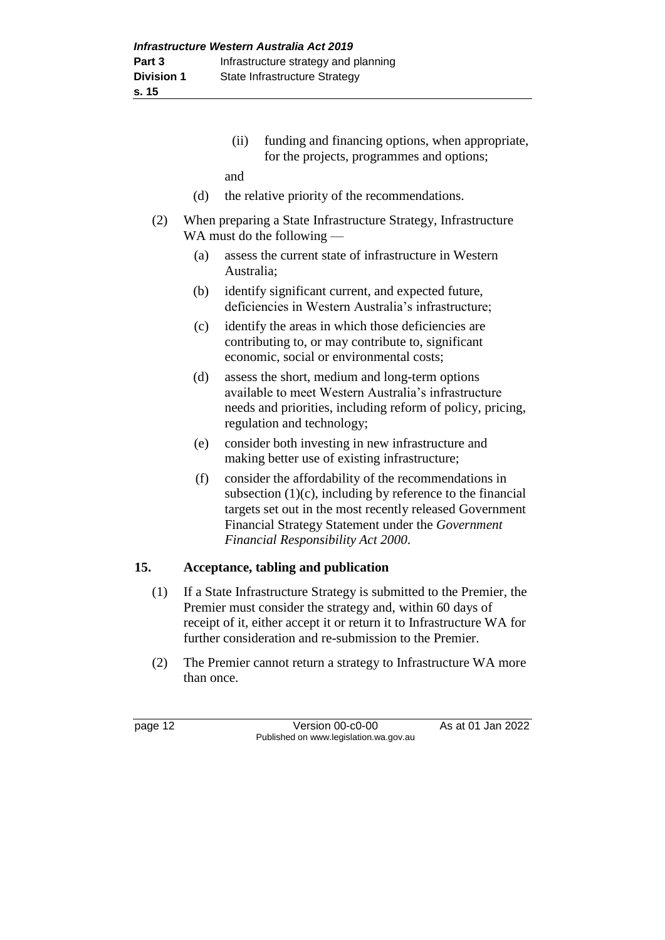(ii) funding and financing options, when appropriate, for the projects, programmes and options;

and

- (d) the relative priority of the recommendations.
- (2) When preparing a State Infrastructure Strategy, Infrastructure WA must do the following —
	- (a) assess the current state of infrastructure in Western Australia;
	- (b) identify significant current, and expected future, deficiencies in Western Australia's infrastructure;
	- (c) identify the areas in which those deficiencies are contributing to, or may contribute to, significant economic, social or environmental costs;
	- (d) assess the short, medium and long-term options available to meet Western Australia's infrastructure needs and priorities, including reform of policy, pricing, regulation and technology;
	- (e) consider both investing in new infrastructure and making better use of existing infrastructure;
	- (f) consider the affordability of the recommendations in subsection  $(1)(c)$ , including by reference to the financial targets set out in the most recently released Government Financial Strategy Statement under the *Government Financial Responsibility Act 2000*.

## **15. Acceptance, tabling and publication**

- (1) If a State Infrastructure Strategy is submitted to the Premier, the Premier must consider the strategy and, within 60 days of receipt of it, either accept it or return it to Infrastructure WA for further consideration and re-submission to the Premier.
- (2) The Premier cannot return a strategy to Infrastructure WA more than once.

page 12 Version 00-c0-00 As at 01 Jan 2022 Published on www.legislation.wa.gov.au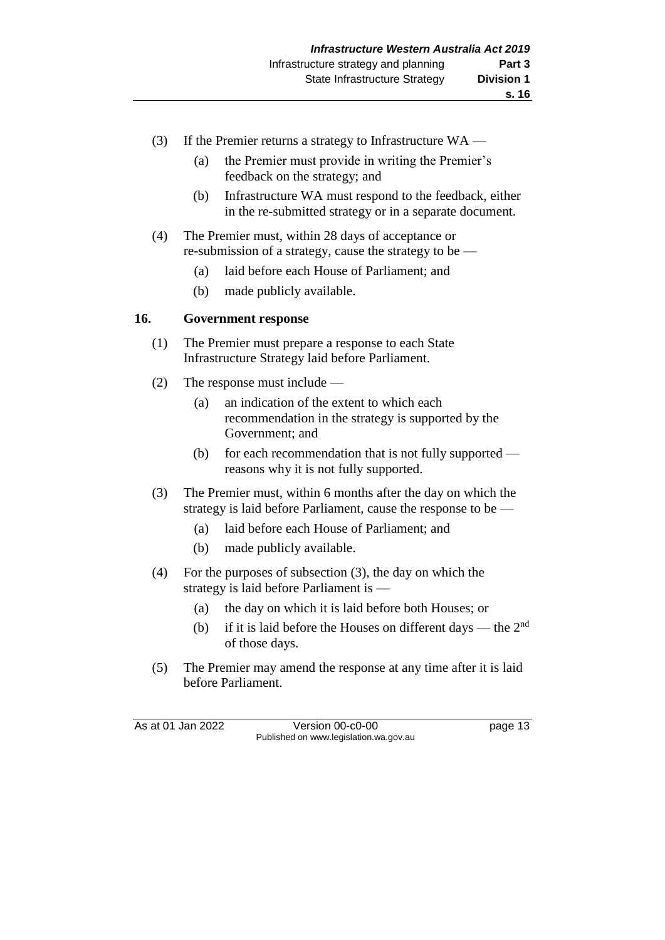- (3) If the Premier returns a strategy to Infrastructure  $WA$ 
	- (a) the Premier must provide in writing the Premier's feedback on the strategy; and
	- (b) Infrastructure WA must respond to the feedback, either in the re-submitted strategy or in a separate document.
- (4) The Premier must, within 28 days of acceptance or re-submission of a strategy, cause the strategy to be —
	- (a) laid before each House of Parliament; and
	- (b) made publicly available.

#### **16. Government response**

- (1) The Premier must prepare a response to each State Infrastructure Strategy laid before Parliament.
- (2) The response must include
	- (a) an indication of the extent to which each recommendation in the strategy is supported by the Government; and
	- (b) for each recommendation that is not fully supported reasons why it is not fully supported.
- (3) The Premier must, within 6 months after the day on which the strategy is laid before Parliament, cause the response to be —
	- (a) laid before each House of Parliament; and
	- (b) made publicly available.
- (4) For the purposes of subsection (3), the day on which the strategy is laid before Parliament is —
	- (a) the day on which it is laid before both Houses; or
	- (b) if it is laid before the Houses on different days the  $2<sup>nd</sup>$ of those days.
- (5) The Premier may amend the response at any time after it is laid before Parliament.

As at 01 Jan 2022 Version 00-c0-00 page 13 Published on www.legislation.wa.gov.au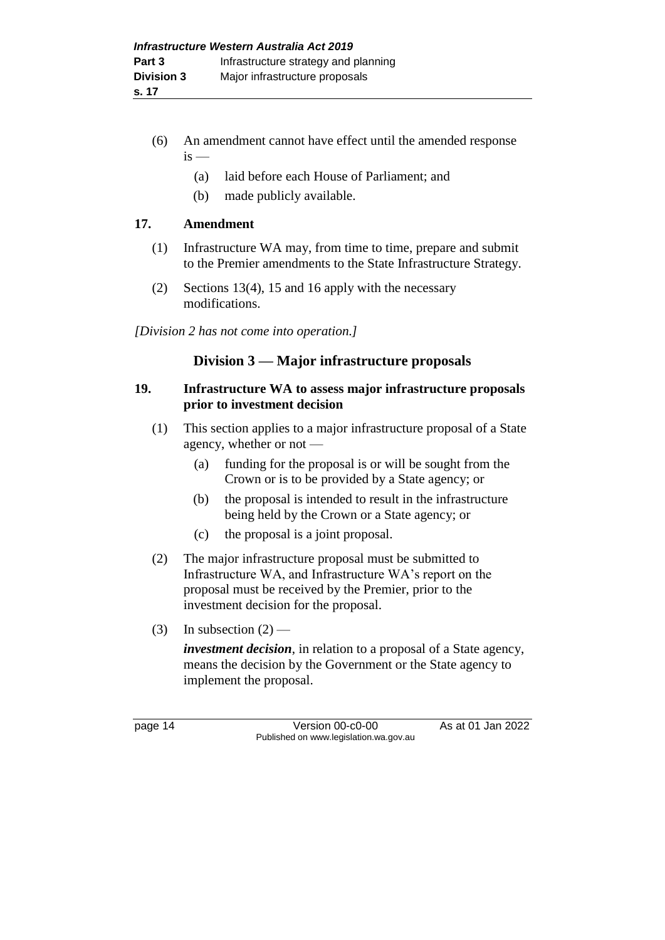- (6) An amendment cannot have effect until the amended response  $is$  —
	- (a) laid before each House of Parliament; and
	- (b) made publicly available.

## **17. Amendment**

- (1) Infrastructure WA may, from time to time, prepare and submit to the Premier amendments to the State Infrastructure Strategy.
- (2) Sections 13(4), 15 and 16 apply with the necessary modifications.

*[Division 2 has not come into operation.]*

## **Division 3 — Major infrastructure proposals**

#### **19. Infrastructure WA to assess major infrastructure proposals prior to investment decision**

- (1) This section applies to a major infrastructure proposal of a State agency, whether or not —
	- (a) funding for the proposal is or will be sought from the Crown or is to be provided by a State agency; or
	- (b) the proposal is intended to result in the infrastructure being held by the Crown or a State agency; or
	- (c) the proposal is a joint proposal.
- (2) The major infrastructure proposal must be submitted to Infrastructure WA, and Infrastructure WA's report on the proposal must be received by the Premier, prior to the investment decision for the proposal.
- (3) In subsection  $(2)$  —

*investment decision*, in relation to a proposal of a State agency, means the decision by the Government or the State agency to implement the proposal.

page 14 Version 00-c0-00 As at 01 Jan 2022 Published on www.legislation.wa.gov.au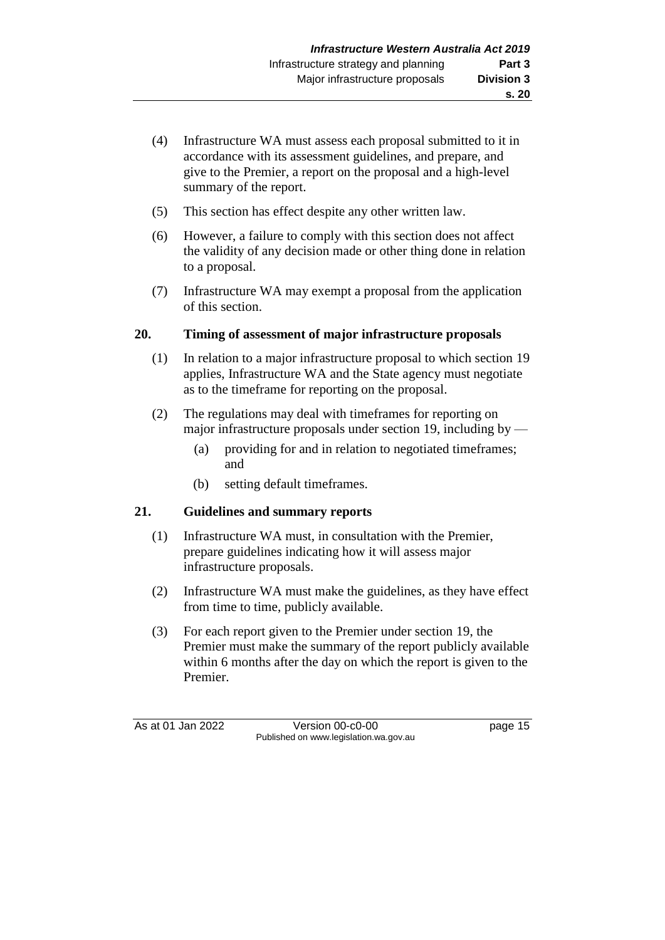- (4) Infrastructure WA must assess each proposal submitted to it in accordance with its assessment guidelines, and prepare, and give to the Premier, a report on the proposal and a high-level summary of the report.
- (5) This section has effect despite any other written law.
- (6) However, a failure to comply with this section does not affect the validity of any decision made or other thing done in relation to a proposal.
- (7) Infrastructure WA may exempt a proposal from the application of this section.

## **20. Timing of assessment of major infrastructure proposals**

- (1) In relation to a major infrastructure proposal to which section 19 applies, Infrastructure WA and the State agency must negotiate as to the timeframe for reporting on the proposal.
- (2) The regulations may deal with timeframes for reporting on major infrastructure proposals under section 19, including by —
	- (a) providing for and in relation to negotiated timeframes; and
	- (b) setting default timeframes.

## **21. Guidelines and summary reports**

- (1) Infrastructure WA must, in consultation with the Premier, prepare guidelines indicating how it will assess major infrastructure proposals.
- (2) Infrastructure WA must make the guidelines, as they have effect from time to time, publicly available.
- (3) For each report given to the Premier under section 19, the Premier must make the summary of the report publicly available within 6 months after the day on which the report is given to the Premier.

As at 01 Jan 2022 Version 00-c0-00 page 15 Published on www.legislation.wa.gov.au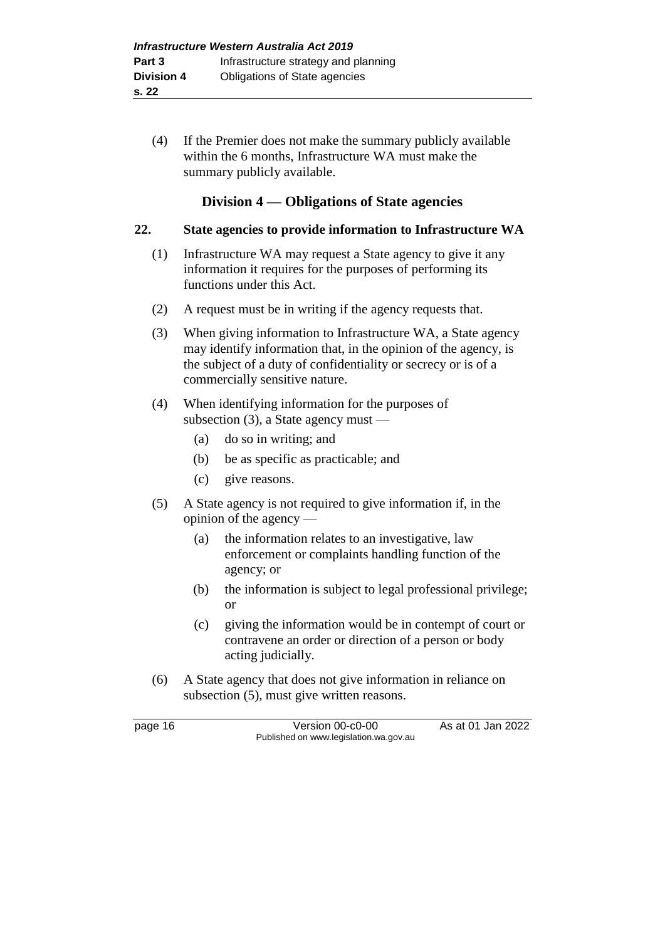(4) If the Premier does not make the summary publicly available within the 6 months, Infrastructure WA must make the summary publicly available.

## **Division 4 — Obligations of State agencies**

#### **22. State agencies to provide information to Infrastructure WA**

- (1) Infrastructure WA may request a State agency to give it any information it requires for the purposes of performing its functions under this Act.
- (2) A request must be in writing if the agency requests that.
- (3) When giving information to Infrastructure WA, a State agency may identify information that, in the opinion of the agency, is the subject of a duty of confidentiality or secrecy or is of a commercially sensitive nature.
- (4) When identifying information for the purposes of subsection (3), a State agency must —
	- (a) do so in writing; and
	- (b) be as specific as practicable; and
	- (c) give reasons.
- (5) A State agency is not required to give information if, in the opinion of the agency —
	- (a) the information relates to an investigative, law enforcement or complaints handling function of the agency; or
	- (b) the information is subject to legal professional privilege; or
	- (c) giving the information would be in contempt of court or contravene an order or direction of a person or body acting judicially.
- (6) A State agency that does not give information in reliance on subsection (5), must give written reasons.

page 16 Version 00-c0-00 As at 01 Jan 2022 Published on www.legislation.wa.gov.au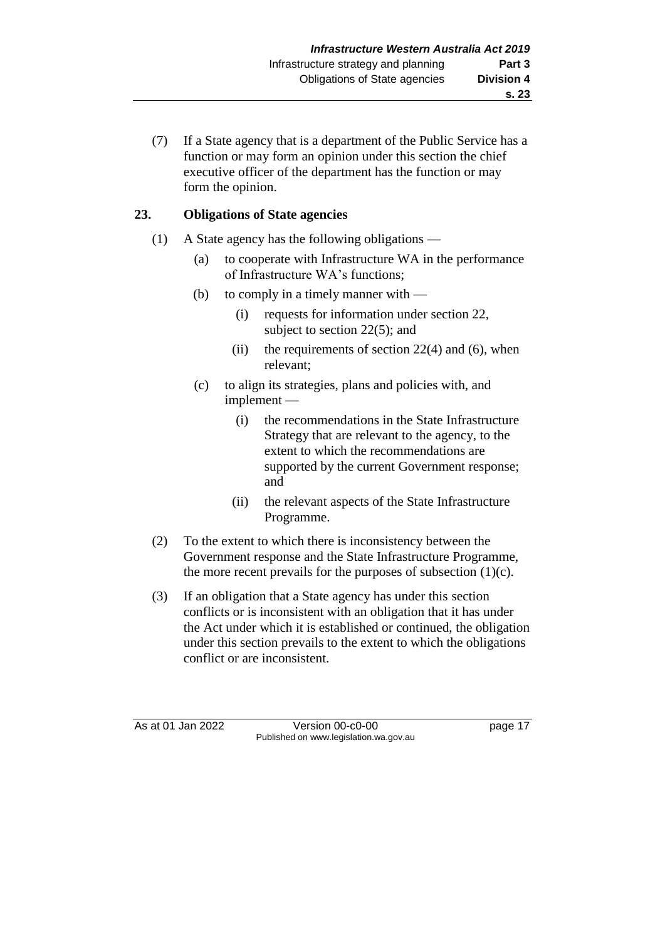(7) If a State agency that is a department of the Public Service has a function or may form an opinion under this section the chief executive officer of the department has the function or may form the opinion.

## **23. Obligations of State agencies**

- (1) A State agency has the following obligations
	- (a) to cooperate with Infrastructure WA in the performance of Infrastructure WA's functions;
	- (b) to comply in a timely manner with
		- (i) requests for information under section 22, subject to section 22(5); and
		- (ii) the requirements of section  $22(4)$  and (6), when relevant;
	- (c) to align its strategies, plans and policies with, and implement —
		- (i) the recommendations in the State Infrastructure Strategy that are relevant to the agency, to the extent to which the recommendations are supported by the current Government response; and
		- (ii) the relevant aspects of the State Infrastructure Programme.
- (2) To the extent to which there is inconsistency between the Government response and the State Infrastructure Programme, the more recent prevails for the purposes of subsection (1)(c).
- (3) If an obligation that a State agency has under this section conflicts or is inconsistent with an obligation that it has under the Act under which it is established or continued, the obligation under this section prevails to the extent to which the obligations conflict or are inconsistent.

As at 01 Jan 2022 Version 00-c0-00 page 17 Published on www.legislation.wa.gov.au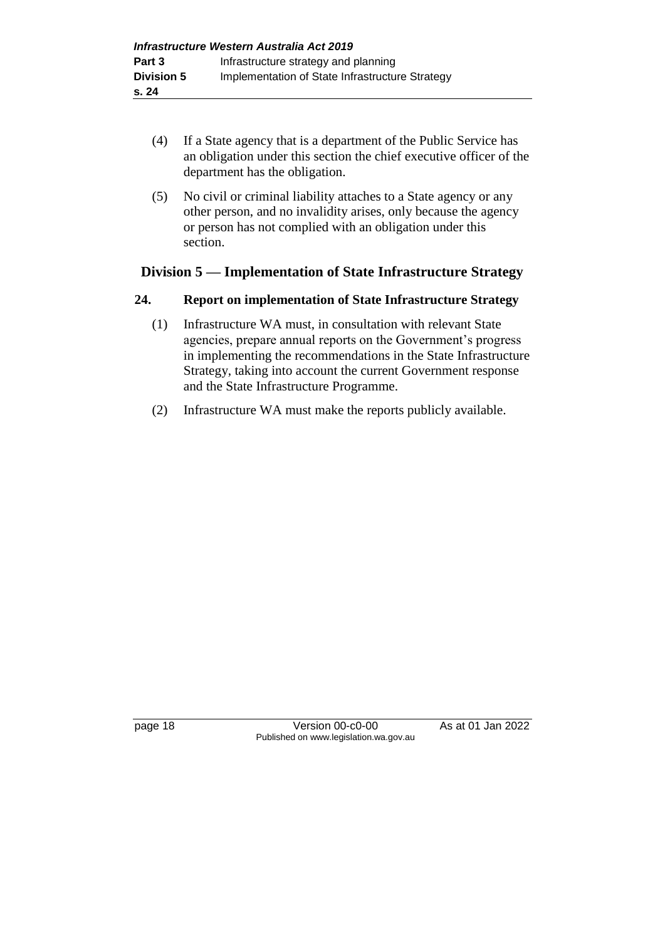- (4) If a State agency that is a department of the Public Service has an obligation under this section the chief executive officer of the department has the obligation.
- (5) No civil or criminal liability attaches to a State agency or any other person, and no invalidity arises, only because the agency or person has not complied with an obligation under this section.

## **Division 5 — Implementation of State Infrastructure Strategy**

## **24. Report on implementation of State Infrastructure Strategy**

- (1) Infrastructure WA must, in consultation with relevant State agencies, prepare annual reports on the Government's progress in implementing the recommendations in the State Infrastructure Strategy, taking into account the current Government response and the State Infrastructure Programme.
- (2) Infrastructure WA must make the reports publicly available.

page 18 Version 00-c0-00 As at 01 Jan 2022 Published on www.legislation.wa.gov.au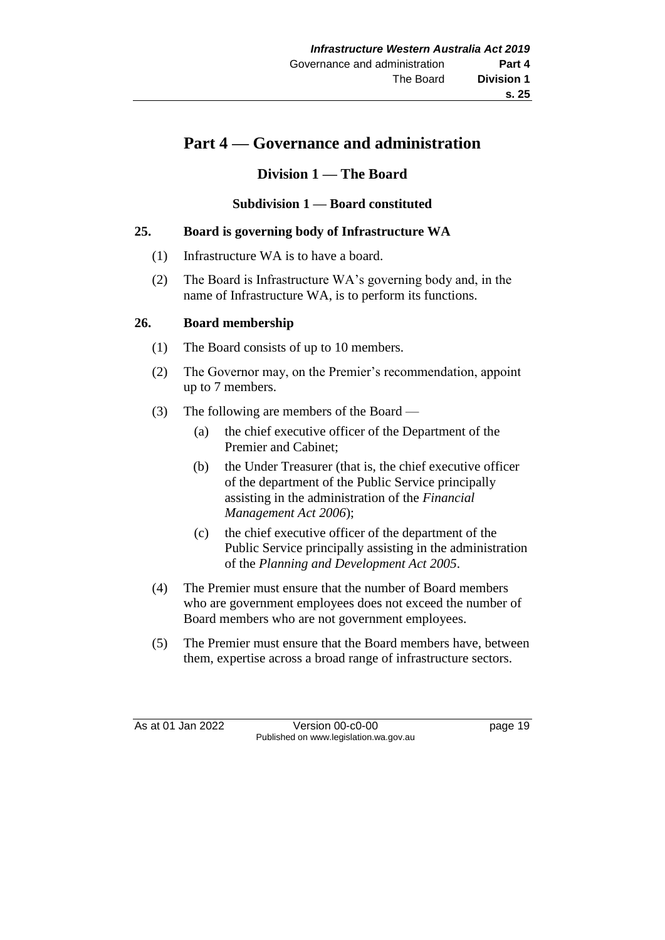## **Part 4 — Governance and administration**

## **Division 1 — The Board**

**Subdivision 1 — Board constituted**

## **25. Board is governing body of Infrastructure WA**

- (1) Infrastructure WA is to have a board.
- (2) The Board is Infrastructure WA's governing body and, in the name of Infrastructure WA, is to perform its functions.

#### **26. Board membership**

- (1) The Board consists of up to 10 members.
- (2) The Governor may, on the Premier's recommendation, appoint up to 7 members.
- (3) The following are members of the Board
	- (a) the chief executive officer of the Department of the Premier and Cabinet;
	- (b) the Under Treasurer (that is, the chief executive officer of the department of the Public Service principally assisting in the administration of the *Financial Management Act 2006*);
	- (c) the chief executive officer of the department of the Public Service principally assisting in the administration of the *Planning and Development Act 2005*.
- (4) The Premier must ensure that the number of Board members who are government employees does not exceed the number of Board members who are not government employees.
- (5) The Premier must ensure that the Board members have, between them, expertise across a broad range of infrastructure sectors.

As at 01 Jan 2022 Version 00-c0-00 page 19 Published on www.legislation.wa.gov.au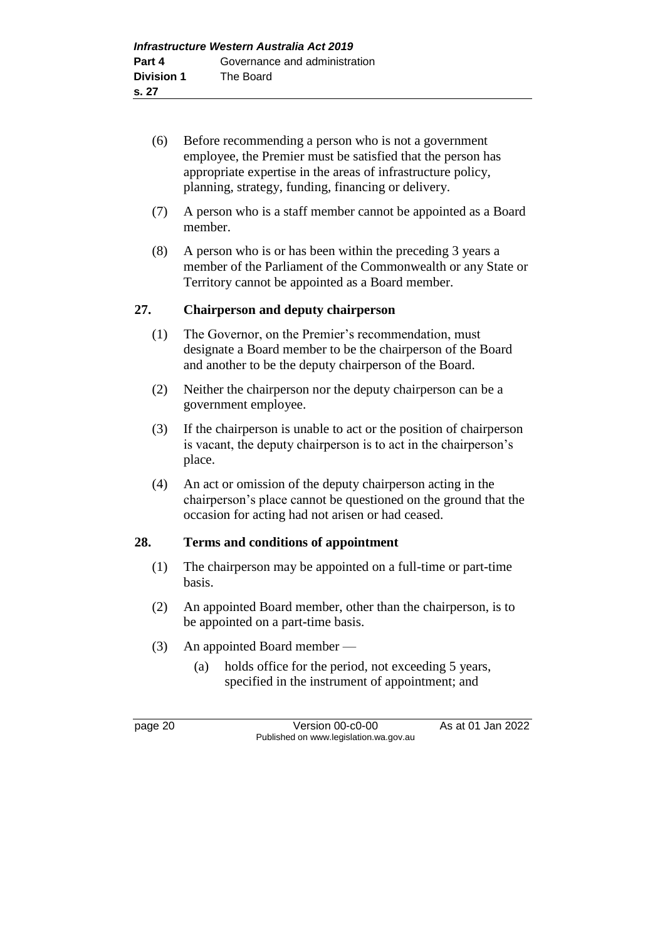- (6) Before recommending a person who is not a government employee, the Premier must be satisfied that the person has appropriate expertise in the areas of infrastructure policy, planning, strategy, funding, financing or delivery.
- (7) A person who is a staff member cannot be appointed as a Board member.
- (8) A person who is or has been within the preceding 3 years a member of the Parliament of the Commonwealth or any State or Territory cannot be appointed as a Board member.

#### **27. Chairperson and deputy chairperson**

- (1) The Governor, on the Premier's recommendation, must designate a Board member to be the chairperson of the Board and another to be the deputy chairperson of the Board.
- (2) Neither the chairperson nor the deputy chairperson can be a government employee.
- (3) If the chairperson is unable to act or the position of chairperson is vacant, the deputy chairperson is to act in the chairperson's place.
- (4) An act or omission of the deputy chairperson acting in the chairperson's place cannot be questioned on the ground that the occasion for acting had not arisen or had ceased.

#### **28. Terms and conditions of appointment**

- (1) The chairperson may be appointed on a full-time or part-time basis.
- (2) An appointed Board member, other than the chairperson, is to be appointed on a part-time basis.
- (3) An appointed Board member
	- (a) holds office for the period, not exceeding 5 years, specified in the instrument of appointment; and

page 20 Version 00-c0-00 As at 01 Jan 2022 Published on www.legislation.wa.gov.au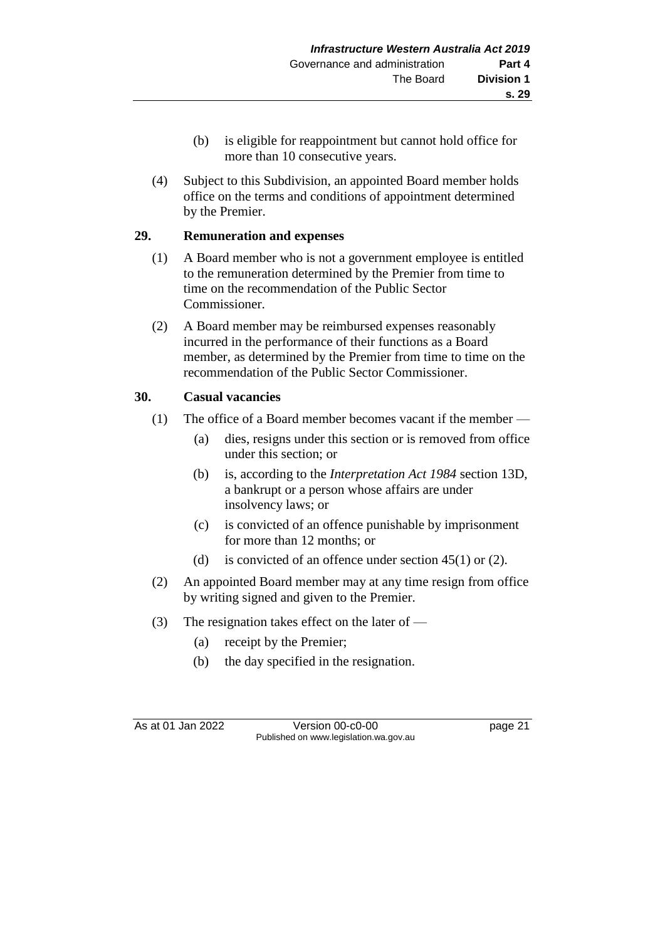- (b) is eligible for reappointment but cannot hold office for more than 10 consecutive years.
- (4) Subject to this Subdivision, an appointed Board member holds office on the terms and conditions of appointment determined by the Premier.

## **29. Remuneration and expenses**

- (1) A Board member who is not a government employee is entitled to the remuneration determined by the Premier from time to time on the recommendation of the Public Sector Commissioner.
- (2) A Board member may be reimbursed expenses reasonably incurred in the performance of their functions as a Board member, as determined by the Premier from time to time on the recommendation of the Public Sector Commissioner.

## **30. Casual vacancies**

- (1) The office of a Board member becomes vacant if the member
	- (a) dies, resigns under this section or is removed from office under this section; or
	- (b) is, according to the *Interpretation Act 1984* section 13D, a bankrupt or a person whose affairs are under insolvency laws; or
	- (c) is convicted of an offence punishable by imprisonment for more than 12 months; or
	- (d) is convicted of an offence under section 45(1) or (2).
- (2) An appointed Board member may at any time resign from office by writing signed and given to the Premier.
- (3) The resignation takes effect on the later of  $-$ 
	- (a) receipt by the Premier;
	- (b) the day specified in the resignation.

As at 01 Jan 2022 Version 00-c0-00 page 21 Published on www.legislation.wa.gov.au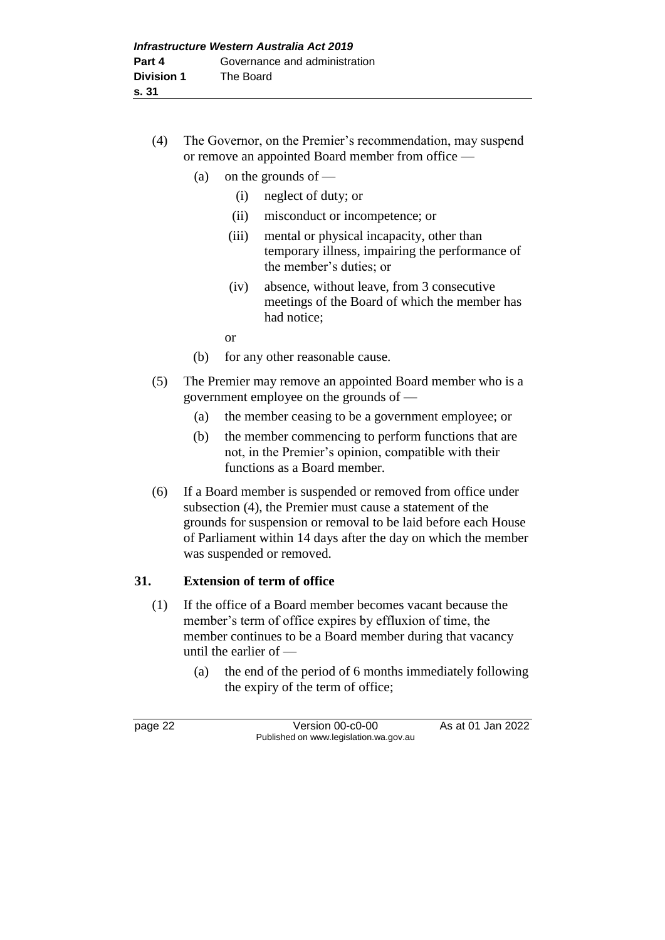- (4) The Governor, on the Premier's recommendation, may suspend or remove an appointed Board member from office —
	- (a) on the grounds of  $-$ 
		- (i) neglect of duty; or
		- (ii) misconduct or incompetence; or
		- (iii) mental or physical incapacity, other than temporary illness, impairing the performance of the member's duties; or
		- (iv) absence, without leave, from 3 consecutive meetings of the Board of which the member has had notice;
		- or
	- (b) for any other reasonable cause.
- (5) The Premier may remove an appointed Board member who is a government employee on the grounds of —
	- (a) the member ceasing to be a government employee; or
	- (b) the member commencing to perform functions that are not, in the Premier's opinion, compatible with their functions as a Board member.
- (6) If a Board member is suspended or removed from office under subsection (4), the Premier must cause a statement of the grounds for suspension or removal to be laid before each House of Parliament within 14 days after the day on which the member was suspended or removed.

#### **31. Extension of term of office**

- (1) If the office of a Board member becomes vacant because the member's term of office expires by effluxion of time, the member continues to be a Board member during that vacancy until the earlier of —
	- (a) the end of the period of 6 months immediately following the expiry of the term of office;

page 22 Version 00-c0-00 As at 01 Jan 2022 Published on www.legislation.wa.gov.au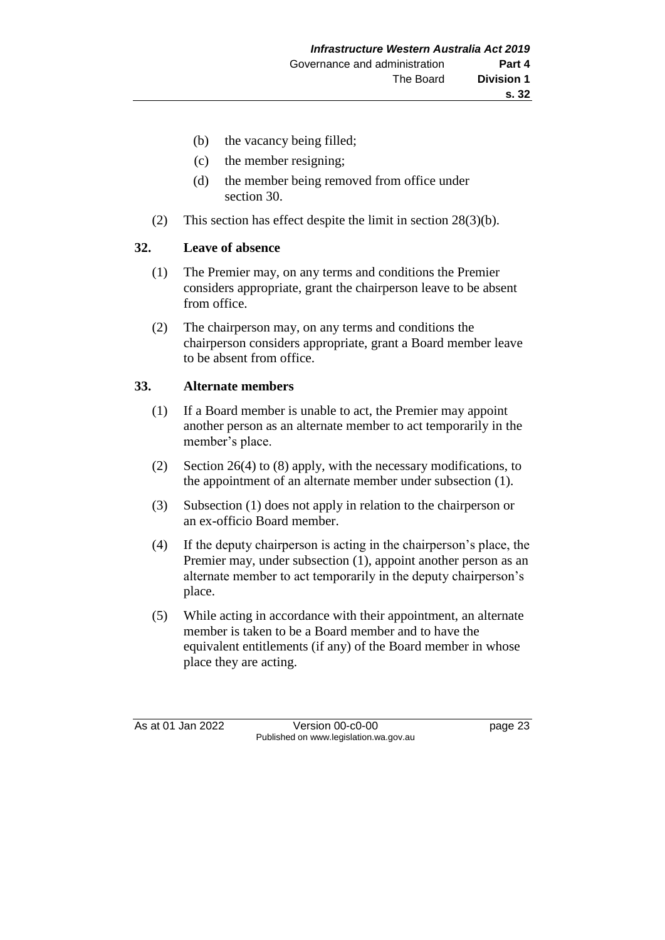- (b) the vacancy being filled;
- (c) the member resigning;
- (d) the member being removed from office under section 30.
- (2) This section has effect despite the limit in section 28(3)(b).

## **32. Leave of absence**

- (1) The Premier may, on any terms and conditions the Premier considers appropriate, grant the chairperson leave to be absent from office.
- (2) The chairperson may, on any terms and conditions the chairperson considers appropriate, grant a Board member leave to be absent from office.

## **33. Alternate members**

- (1) If a Board member is unable to act, the Premier may appoint another person as an alternate member to act temporarily in the member's place.
- (2) Section 26(4) to (8) apply, with the necessary modifications, to the appointment of an alternate member under subsection (1).
- (3) Subsection (1) does not apply in relation to the chairperson or an ex-officio Board member.
- (4) If the deputy chairperson is acting in the chairperson's place, the Premier may, under subsection (1), appoint another person as an alternate member to act temporarily in the deputy chairperson's place.
- (5) While acting in accordance with their appointment, an alternate member is taken to be a Board member and to have the equivalent entitlements (if any) of the Board member in whose place they are acting.

As at 01 Jan 2022 Version 00-c0-00 Page 23 Published on www.legislation.wa.gov.au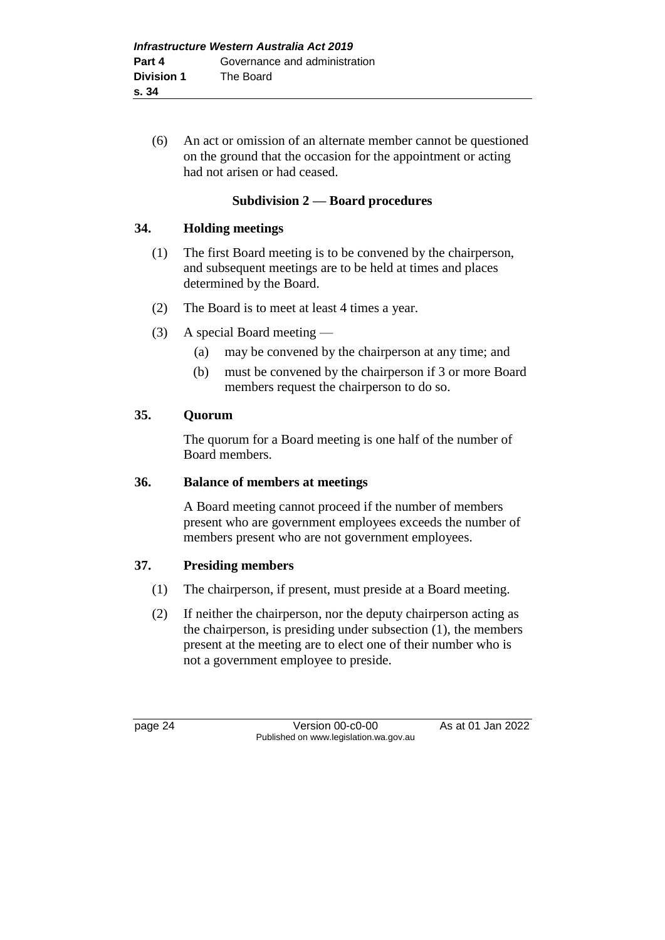(6) An act or omission of an alternate member cannot be questioned on the ground that the occasion for the appointment or acting had not arisen or had ceased.

### **Subdivision 2 — Board procedures**

#### **34. Holding meetings**

- (1) The first Board meeting is to be convened by the chairperson, and subsequent meetings are to be held at times and places determined by the Board.
- (2) The Board is to meet at least 4 times a year.
- (3) A special Board meeting
	- (a) may be convened by the chairperson at any time; and
	- (b) must be convened by the chairperson if 3 or more Board members request the chairperson to do so.

#### **35. Quorum**

The quorum for a Board meeting is one half of the number of Board members.

#### **36. Balance of members at meetings**

A Board meeting cannot proceed if the number of members present who are government employees exceeds the number of members present who are not government employees.

## **37. Presiding members**

- (1) The chairperson, if present, must preside at a Board meeting.
- (2) If neither the chairperson, nor the deputy chairperson acting as the chairperson, is presiding under subsection (1), the members present at the meeting are to elect one of their number who is not a government employee to preside.

page 24 Version 00-c0-00 As at 01 Jan 2022 Published on www.legislation.wa.gov.au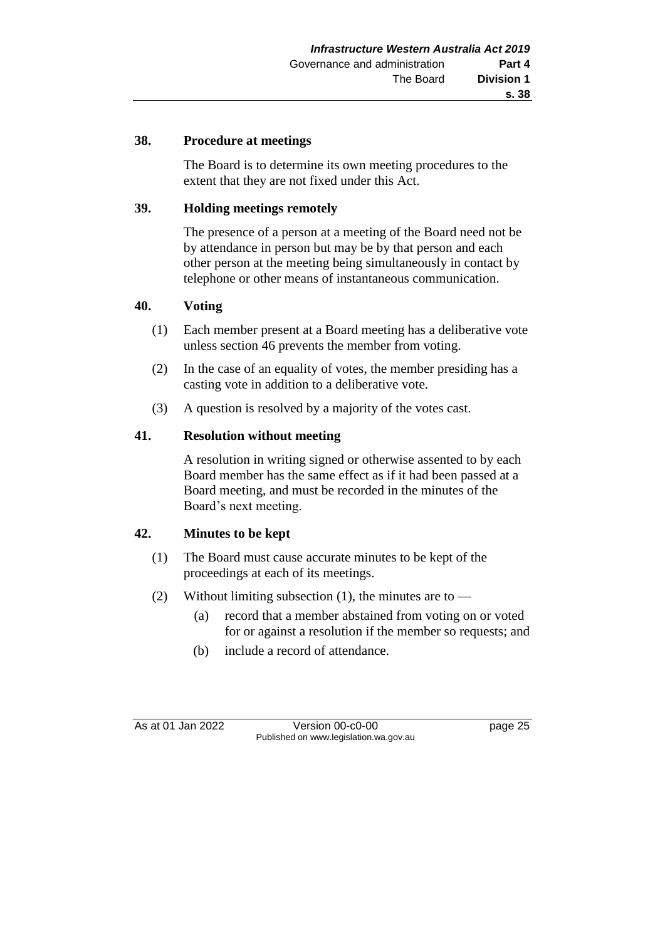### **38. Procedure at meetings**

The Board is to determine its own meeting procedures to the extent that they are not fixed under this Act.

### **39. Holding meetings remotely**

The presence of a person at a meeting of the Board need not be by attendance in person but may be by that person and each other person at the meeting being simultaneously in contact by telephone or other means of instantaneous communication.

#### **40. Voting**

- (1) Each member present at a Board meeting has a deliberative vote unless section 46 prevents the member from voting.
- (2) In the case of an equality of votes, the member presiding has a casting vote in addition to a deliberative vote.
- (3) A question is resolved by a majority of the votes cast.

#### **41. Resolution without meeting**

A resolution in writing signed or otherwise assented to by each Board member has the same effect as if it had been passed at a Board meeting, and must be recorded in the minutes of the Board's next meeting.

## **42. Minutes to be kept**

- (1) The Board must cause accurate minutes to be kept of the proceedings at each of its meetings.
- (2) Without limiting subsection (1), the minutes are to
	- (a) record that a member abstained from voting on or voted for or against a resolution if the member so requests; and
	- (b) include a record of attendance.

As at 01 Jan 2022 Version 00-c0-00 Page 25 Published on www.legislation.wa.gov.au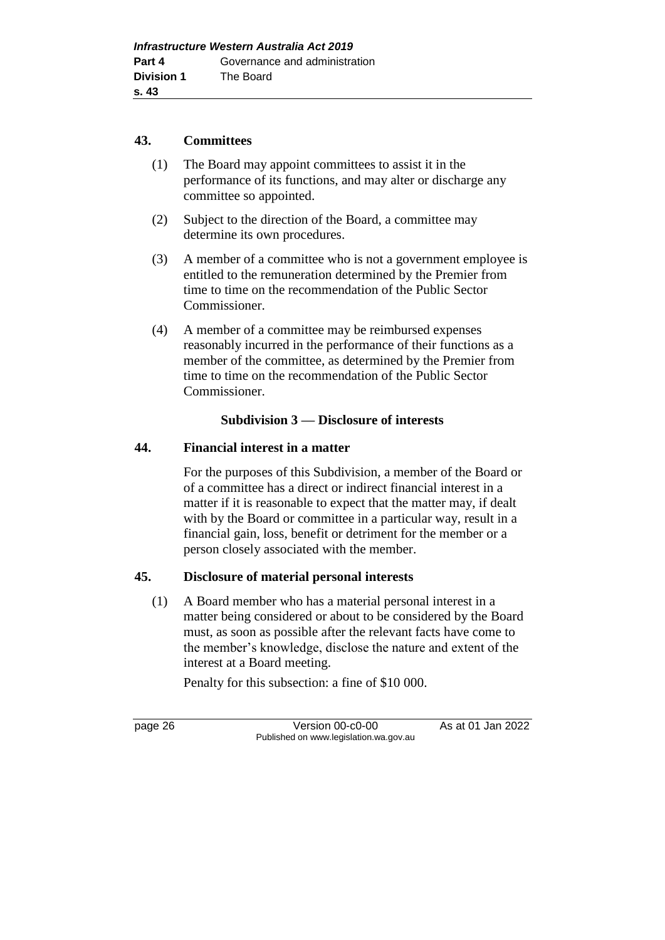#### **43. Committees**

- (1) The Board may appoint committees to assist it in the performance of its functions, and may alter or discharge any committee so appointed.
- (2) Subject to the direction of the Board, a committee may determine its own procedures.
- (3) A member of a committee who is not a government employee is entitled to the remuneration determined by the Premier from time to time on the recommendation of the Public Sector Commissioner.
- (4) A member of a committee may be reimbursed expenses reasonably incurred in the performance of their functions as a member of the committee, as determined by the Premier from time to time on the recommendation of the Public Sector Commissioner.

## **Subdivision 3 — Disclosure of interests**

## **44. Financial interest in a matter**

For the purposes of this Subdivision, a member of the Board or of a committee has a direct or indirect financial interest in a matter if it is reasonable to expect that the matter may, if dealt with by the Board or committee in a particular way, result in a financial gain, loss, benefit or detriment for the member or a person closely associated with the member.

## **45. Disclosure of material personal interests**

(1) A Board member who has a material personal interest in a matter being considered or about to be considered by the Board must, as soon as possible after the relevant facts have come to the member's knowledge, disclose the nature and extent of the interest at a Board meeting.

Penalty for this subsection: a fine of \$10 000.

page 26 Version 00-c0-00 As at 01 Jan 2022 Published on www.legislation.wa.gov.au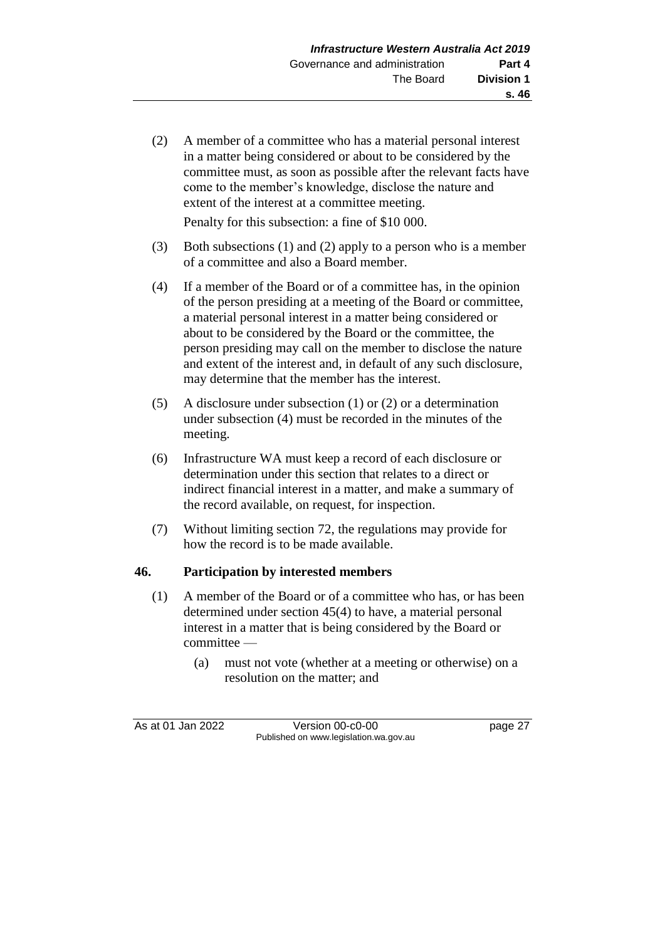(2) A member of a committee who has a material personal interest in a matter being considered or about to be considered by the committee must, as soon as possible after the relevant facts have come to the member's knowledge, disclose the nature and extent of the interest at a committee meeting.

Penalty for this subsection: a fine of \$10 000.

- (3) Both subsections (1) and (2) apply to a person who is a member of a committee and also a Board member.
- (4) If a member of the Board or of a committee has, in the opinion of the person presiding at a meeting of the Board or committee, a material personal interest in a matter being considered or about to be considered by the Board or the committee, the person presiding may call on the member to disclose the nature and extent of the interest and, in default of any such disclosure, may determine that the member has the interest.
- (5) A disclosure under subsection (1) or (2) or a determination under subsection (4) must be recorded in the minutes of the meeting.
- (6) Infrastructure WA must keep a record of each disclosure or determination under this section that relates to a direct or indirect financial interest in a matter, and make a summary of the record available, on request, for inspection.
- (7) Without limiting section 72, the regulations may provide for how the record is to be made available.

## **46. Participation by interested members**

- (1) A member of the Board or of a committee who has, or has been determined under section 45(4) to have, a material personal interest in a matter that is being considered by the Board or committee —
	- (a) must not vote (whether at a meeting or otherwise) on a resolution on the matter; and

As at 01 Jan 2022 Version 00-c0-00 page 27 Published on www.legislation.wa.gov.au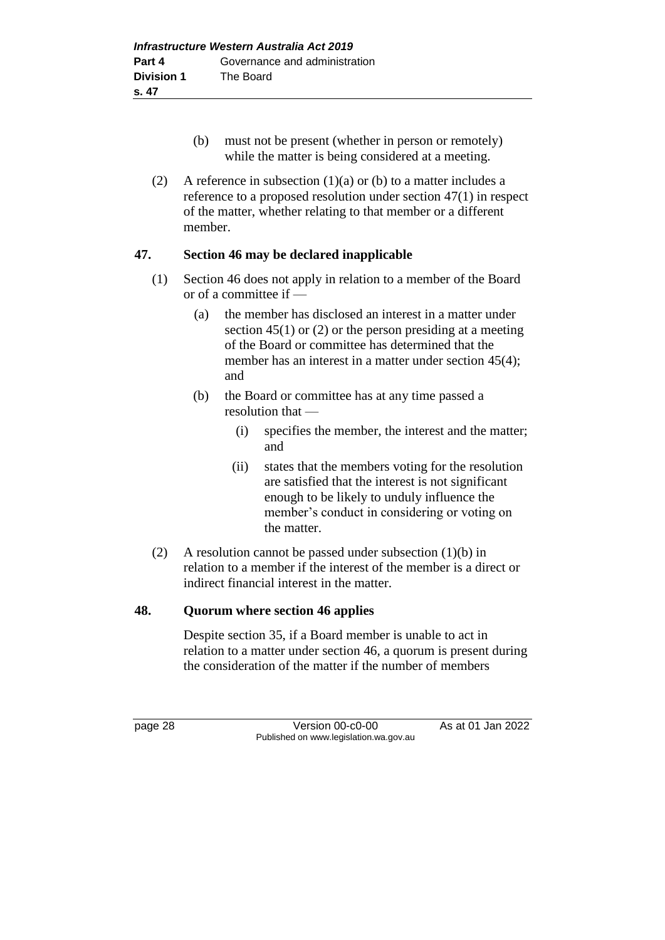- (b) must not be present (whether in person or remotely) while the matter is being considered at a meeting.
- (2) A reference in subsection  $(1)(a)$  or (b) to a matter includes a reference to a proposed resolution under section 47(1) in respect of the matter, whether relating to that member or a different member.

#### **47. Section 46 may be declared inapplicable**

- (1) Section 46 does not apply in relation to a member of the Board or of a committee if —
	- (a) the member has disclosed an interest in a matter under section 45(1) or (2) or the person presiding at a meeting of the Board or committee has determined that the member has an interest in a matter under section 45(4); and
	- (b) the Board or committee has at any time passed a resolution that —
		- (i) specifies the member, the interest and the matter; and
		- (ii) states that the members voting for the resolution are satisfied that the interest is not significant enough to be likely to unduly influence the member's conduct in considering or voting on the matter.
- (2) A resolution cannot be passed under subsection (1)(b) in relation to a member if the interest of the member is a direct or indirect financial interest in the matter.

## **48. Quorum where section 46 applies**

Despite section 35, if a Board member is unable to act in relation to a matter under section 46, a quorum is present during the consideration of the matter if the number of members

page 28 Version 00-c0-00 As at 01 Jan 2022 Published on www.legislation.wa.gov.au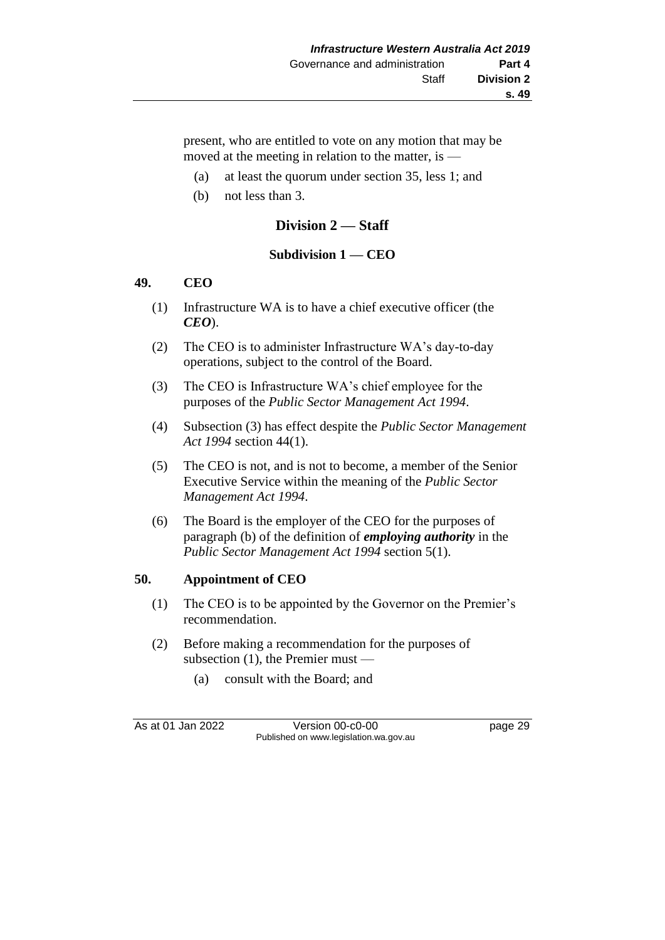present, who are entitled to vote on any motion that may be moved at the meeting in relation to the matter, is —

- (a) at least the quorum under section 35, less 1; and
- (b) not less than 3.

## **Division 2 — Staff**

#### **Subdivision 1 — CEO**

#### **49. CEO**

- (1) Infrastructure WA is to have a chief executive officer (the *CEO*).
- (2) The CEO is to administer Infrastructure WA's day-to-day operations, subject to the control of the Board.
- (3) The CEO is Infrastructure WA's chief employee for the purposes of the *Public Sector Management Act 1994*.
- (4) Subsection (3) has effect despite the *Public Sector Management Act 1994* section 44(1).
- (5) The CEO is not, and is not to become, a member of the Senior Executive Service within the meaning of the *Public Sector Management Act 1994*.
- (6) The Board is the employer of the CEO for the purposes of paragraph (b) of the definition of *employing authority* in the *Public Sector Management Act 1994* section 5(1).

#### **50. Appointment of CEO**

- (1) The CEO is to be appointed by the Governor on the Premier's recommendation.
- (2) Before making a recommendation for the purposes of subsection (1), the Premier must —
	- (a) consult with the Board; and

As at 01 Jan 2022 Version 00-c0-00 Version 00-c0-00 page 29 Published on www.legislation.wa.gov.au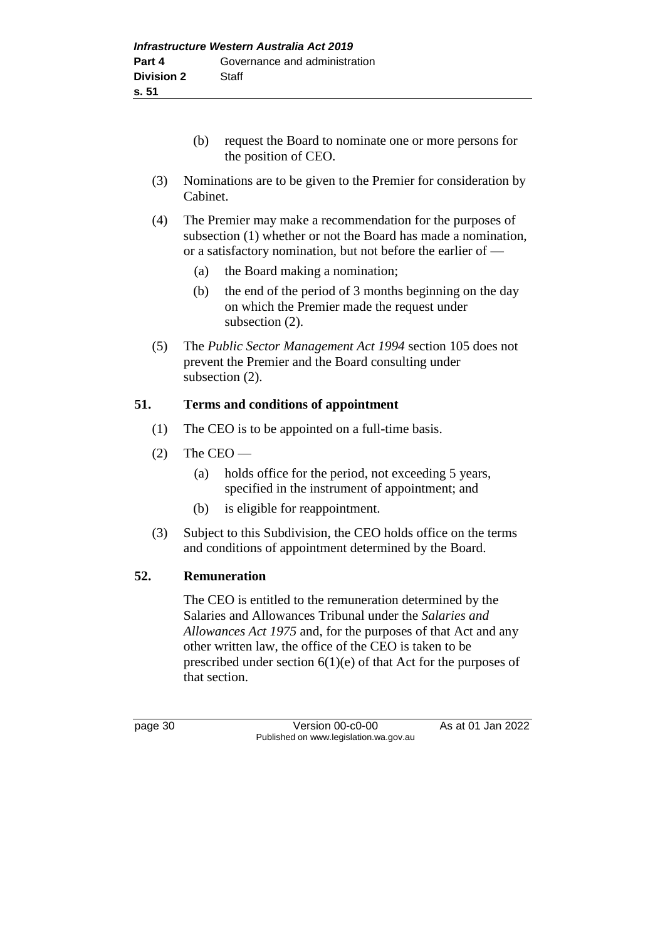- (b) request the Board to nominate one or more persons for the position of CEO.
- (3) Nominations are to be given to the Premier for consideration by Cabinet.
- (4) The Premier may make a recommendation for the purposes of subsection (1) whether or not the Board has made a nomination, or a satisfactory nomination, but not before the earlier of —
	- (a) the Board making a nomination;
	- (b) the end of the period of 3 months beginning on the day on which the Premier made the request under subsection (2).
- (5) The *Public Sector Management Act 1994* section 105 does not prevent the Premier and the Board consulting under subsection (2).

## **51. Terms and conditions of appointment**

- (1) The CEO is to be appointed on a full-time basis.
- $(2)$  The CEO
	- (a) holds office for the period, not exceeding 5 years, specified in the instrument of appointment; and
	- (b) is eligible for reappointment.
- (3) Subject to this Subdivision, the CEO holds office on the terms and conditions of appointment determined by the Board.

#### **52. Remuneration**

The CEO is entitled to the remuneration determined by the Salaries and Allowances Tribunal under the *Salaries and Allowances Act 1975* and, for the purposes of that Act and any other written law, the office of the CEO is taken to be prescribed under section 6(1)(e) of that Act for the purposes of that section.

page 30 Version 00-c0-00 As at 01 Jan 2022 Published on www.legislation.wa.gov.au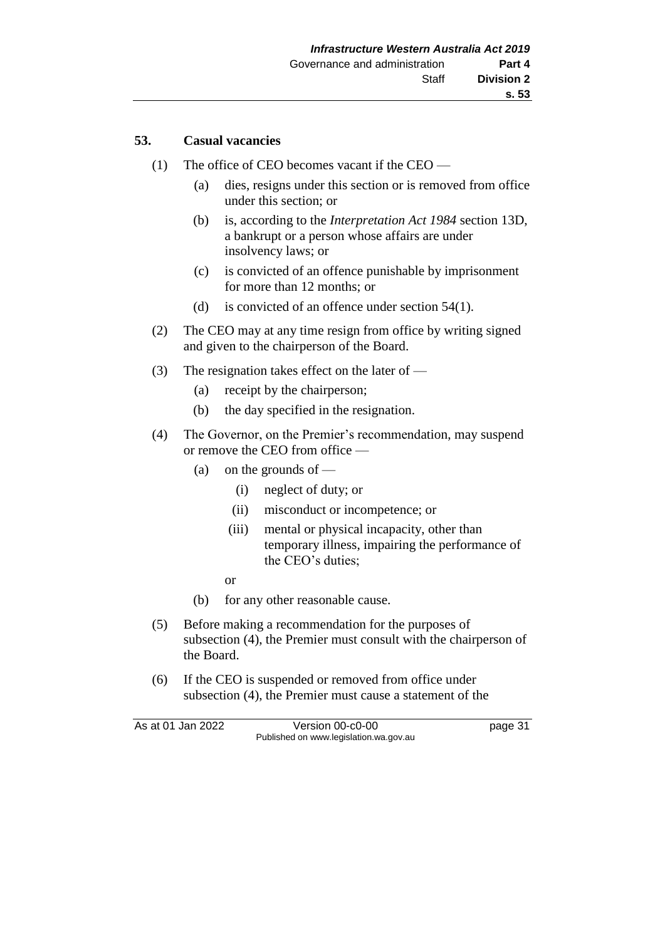## **53. Casual vacancies**

- (1) The office of CEO becomes vacant if the CEO
	- (a) dies, resigns under this section or is removed from office under this section; or
	- (b) is, according to the *Interpretation Act 1984* section 13D, a bankrupt or a person whose affairs are under insolvency laws; or
	- (c) is convicted of an offence punishable by imprisonment for more than 12 months; or
	- (d) is convicted of an offence under section 54(1).
- (2) The CEO may at any time resign from office by writing signed and given to the chairperson of the Board.
- (3) The resignation takes effect on the later of
	- (a) receipt by the chairperson;
	- (b) the day specified in the resignation.
- (4) The Governor, on the Premier's recommendation, may suspend or remove the CEO from office —
	- (a) on the grounds of
		- (i) neglect of duty; or
		- (ii) misconduct or incompetence; or
		- (iii) mental or physical incapacity, other than temporary illness, impairing the performance of the CEO's duties;
		- or
	- (b) for any other reasonable cause.
- (5) Before making a recommendation for the purposes of subsection (4), the Premier must consult with the chairperson of the Board.
- (6) If the CEO is suspended or removed from office under subsection (4), the Premier must cause a statement of the

As at 01 Jan 2022 Version 00-c0-00 page 31 Published on www.legislation.wa.gov.au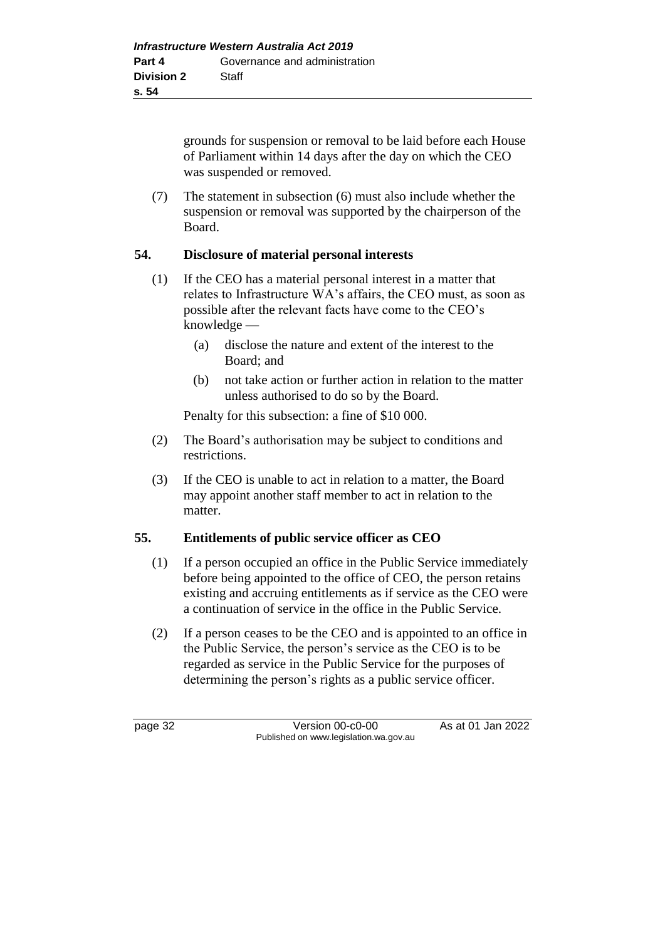grounds for suspension or removal to be laid before each House of Parliament within 14 days after the day on which the CEO was suspended or removed.

(7) The statement in subsection (6) must also include whether the suspension or removal was supported by the chairperson of the Board.

#### **54. Disclosure of material personal interests**

- (1) If the CEO has a material personal interest in a matter that relates to Infrastructure WA's affairs, the CEO must, as soon as possible after the relevant facts have come to the CEO's knowledge —
	- (a) disclose the nature and extent of the interest to the Board; and
	- (b) not take action or further action in relation to the matter unless authorised to do so by the Board.

Penalty for this subsection: a fine of \$10 000.

- (2) The Board's authorisation may be subject to conditions and restrictions.
- (3) If the CEO is unable to act in relation to a matter, the Board may appoint another staff member to act in relation to the matter.

#### **55. Entitlements of public service officer as CEO**

- (1) If a person occupied an office in the Public Service immediately before being appointed to the office of CEO, the person retains existing and accruing entitlements as if service as the CEO were a continuation of service in the office in the Public Service.
- (2) If a person ceases to be the CEO and is appointed to an office in the Public Service, the person's service as the CEO is to be regarded as service in the Public Service for the purposes of determining the person's rights as a public service officer.

page 32 Version 00-c0-00 As at 01 Jan 2022 Published on www.legislation.wa.gov.au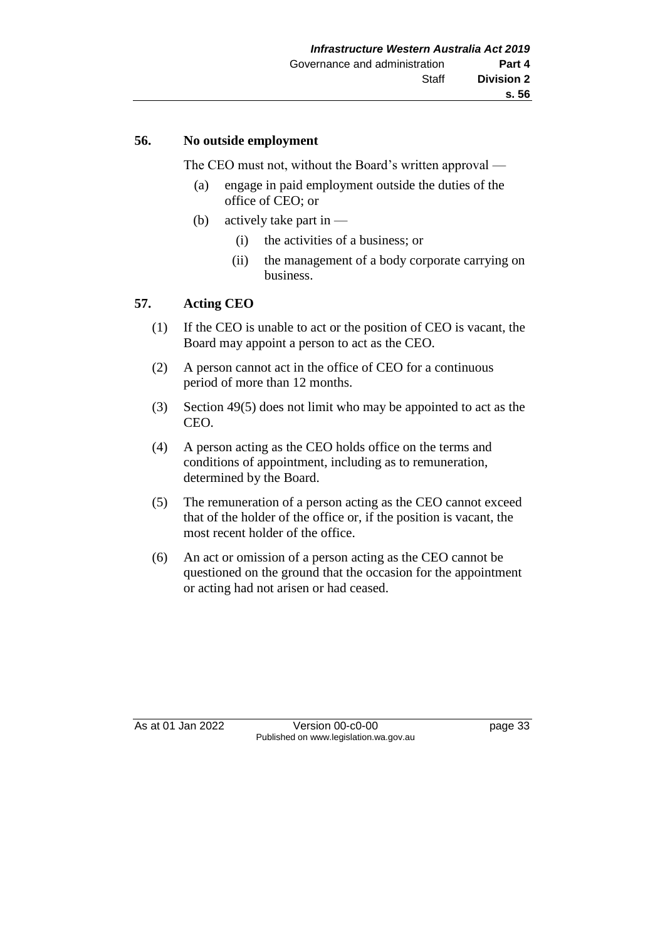#### **56. No outside employment**

The CEO must not, without the Board's written approval —

- (a) engage in paid employment outside the duties of the office of CEO; or
- (b) actively take part in  $-$ 
	- (i) the activities of a business; or
	- (ii) the management of a body corporate carrying on business.

## **57. Acting CEO**

- (1) If the CEO is unable to act or the position of CEO is vacant, the Board may appoint a person to act as the CEO.
- (2) A person cannot act in the office of CEO for a continuous period of more than 12 months.
- (3) Section 49(5) does not limit who may be appointed to act as the CEO.
- (4) A person acting as the CEO holds office on the terms and conditions of appointment, including as to remuneration, determined by the Board.
- (5) The remuneration of a person acting as the CEO cannot exceed that of the holder of the office or, if the position is vacant, the most recent holder of the office.
- (6) An act or omission of a person acting as the CEO cannot be questioned on the ground that the occasion for the appointment or acting had not arisen or had ceased.

As at 01 Jan 2022 Version 00-c0-00 page 33 Published on www.legislation.wa.gov.au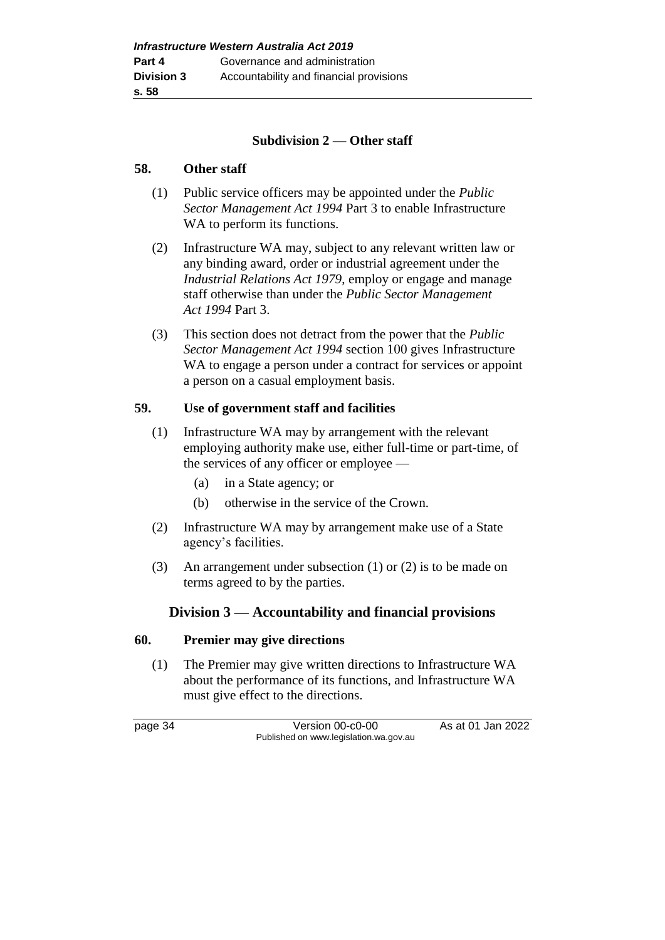### **Subdivision 2 — Other staff**

#### **58. Other staff**

- (1) Public service officers may be appointed under the *Public Sector Management Act 1994* Part 3 to enable Infrastructure WA to perform its functions.
- (2) Infrastructure WA may, subject to any relevant written law or any binding award, order or industrial agreement under the *Industrial Relations Act 1979*, employ or engage and manage staff otherwise than under the *Public Sector Management Act 1994* Part 3.
- (3) This section does not detract from the power that the *Public Sector Management Act 1994* section 100 gives Infrastructure WA to engage a person under a contract for services or appoint a person on a casual employment basis.

#### **59. Use of government staff and facilities**

- (1) Infrastructure WA may by arrangement with the relevant employing authority make use, either full-time or part-time, of the services of any officer or employee —
	- (a) in a State agency; or
	- (b) otherwise in the service of the Crown.
- (2) Infrastructure WA may by arrangement make use of a State agency's facilities.
- (3) An arrangement under subsection (1) or (2) is to be made on terms agreed to by the parties.

## **Division 3 — Accountability and financial provisions**

#### **60. Premier may give directions**

(1) The Premier may give written directions to Infrastructure WA about the performance of its functions, and Infrastructure WA must give effect to the directions.

page 34 Version 00-c0-00 As at 01 Jan 2022 Published on www.legislation.wa.gov.au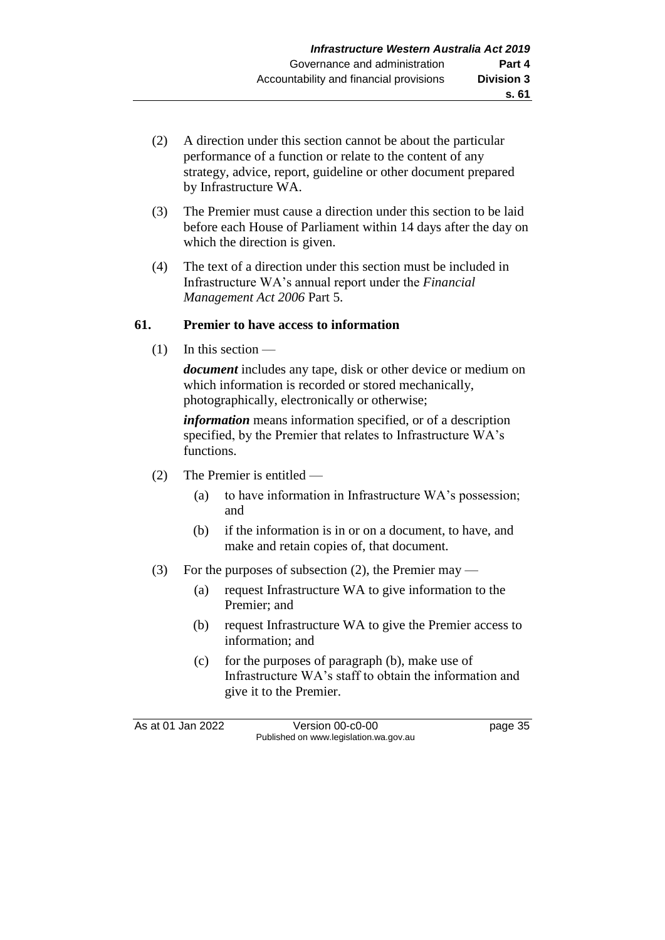- (2) A direction under this section cannot be about the particular performance of a function or relate to the content of any strategy, advice, report, guideline or other document prepared by Infrastructure WA.
- (3) The Premier must cause a direction under this section to be laid before each House of Parliament within 14 days after the day on which the direction is given.
- (4) The text of a direction under this section must be included in Infrastructure WA's annual report under the *Financial Management Act 2006* Part 5.

#### **61. Premier to have access to information**

 $(1)$  In this section —

*document* includes any tape, disk or other device or medium on which information is recorded or stored mechanically, photographically, electronically or otherwise;

*information* means information specified, or of a description specified, by the Premier that relates to Infrastructure WA's functions.

- (2) The Premier is entitled
	- (a) to have information in Infrastructure WA's possession; and
	- (b) if the information is in or on a document, to have, and make and retain copies of, that document.
- (3) For the purposes of subsection (2), the Premier may
	- (a) request Infrastructure WA to give information to the Premier; and
	- (b) request Infrastructure WA to give the Premier access to information; and
	- (c) for the purposes of paragraph (b), make use of Infrastructure WA's staff to obtain the information and give it to the Premier.

As at 01 Jan 2022 Version 00-c0-00 Page 35 Published on www.legislation.wa.gov.au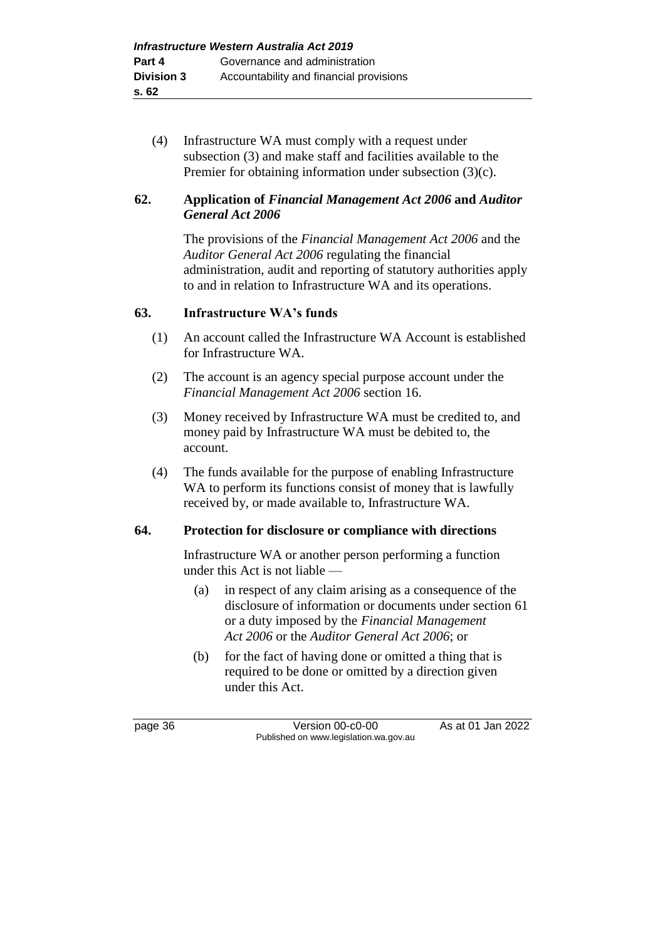(4) Infrastructure WA must comply with a request under subsection (3) and make staff and facilities available to the Premier for obtaining information under subsection (3)(c).

## **62. Application of** *Financial Management Act 2006* **and** *Auditor General Act 2006*

The provisions of the *Financial Management Act 2006* and the *Auditor General Act 2006* regulating the financial administration, audit and reporting of statutory authorities apply to and in relation to Infrastructure WA and its operations.

## **63. Infrastructure WA's funds**

- (1) An account called the Infrastructure WA Account is established for Infrastructure WA.
- (2) The account is an agency special purpose account under the *Financial Management Act 2006* section 16.
- (3) Money received by Infrastructure WA must be credited to, and money paid by Infrastructure WA must be debited to, the account.
- (4) The funds available for the purpose of enabling Infrastructure WA to perform its functions consist of money that is lawfully received by, or made available to, Infrastructure WA.

## **64. Protection for disclosure or compliance with directions**

Infrastructure WA or another person performing a function under this Act is not liable —

- (a) in respect of any claim arising as a consequence of the disclosure of information or documents under section 61 or a duty imposed by the *Financial Management Act 2006* or the *Auditor General Act 2006*; or
- (b) for the fact of having done or omitted a thing that is required to be done or omitted by a direction given under this Act.

page 36 Version 00-c0-00 As at 01 Jan 2022 Published on www.legislation.wa.gov.au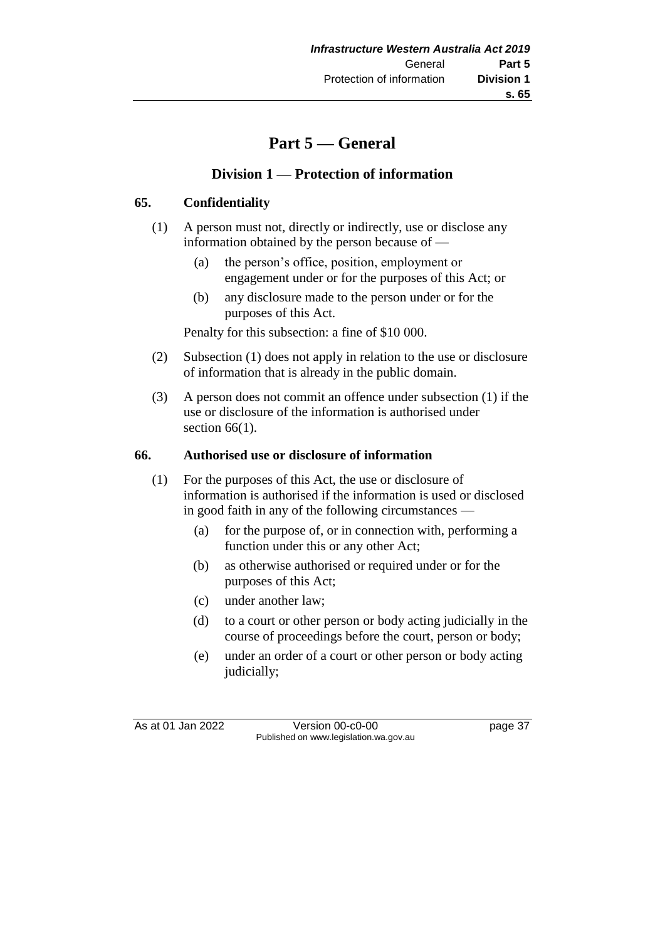## **Part 5 — General**

## **Division 1 — Protection of information**

## **65. Confidentiality**

- (1) A person must not, directly or indirectly, use or disclose any information obtained by the person because of —
	- (a) the person's office, position, employment or engagement under or for the purposes of this Act; or
	- (b) any disclosure made to the person under or for the purposes of this Act.

Penalty for this subsection: a fine of \$10 000.

- (2) Subsection (1) does not apply in relation to the use or disclosure of information that is already in the public domain.
- (3) A person does not commit an offence under subsection (1) if the use or disclosure of the information is authorised under section  $66(1)$ .

#### **66. Authorised use or disclosure of information**

- (1) For the purposes of this Act, the use or disclosure of information is authorised if the information is used or disclosed in good faith in any of the following circumstances —
	- (a) for the purpose of, or in connection with, performing a function under this or any other Act;
	- (b) as otherwise authorised or required under or for the purposes of this Act;
	- (c) under another law;
	- (d) to a court or other person or body acting judicially in the course of proceedings before the court, person or body;
	- (e) under an order of a court or other person or body acting judicially;

As at 01 Jan 2022 Version 00-c0-00 page 37 Published on www.legislation.wa.gov.au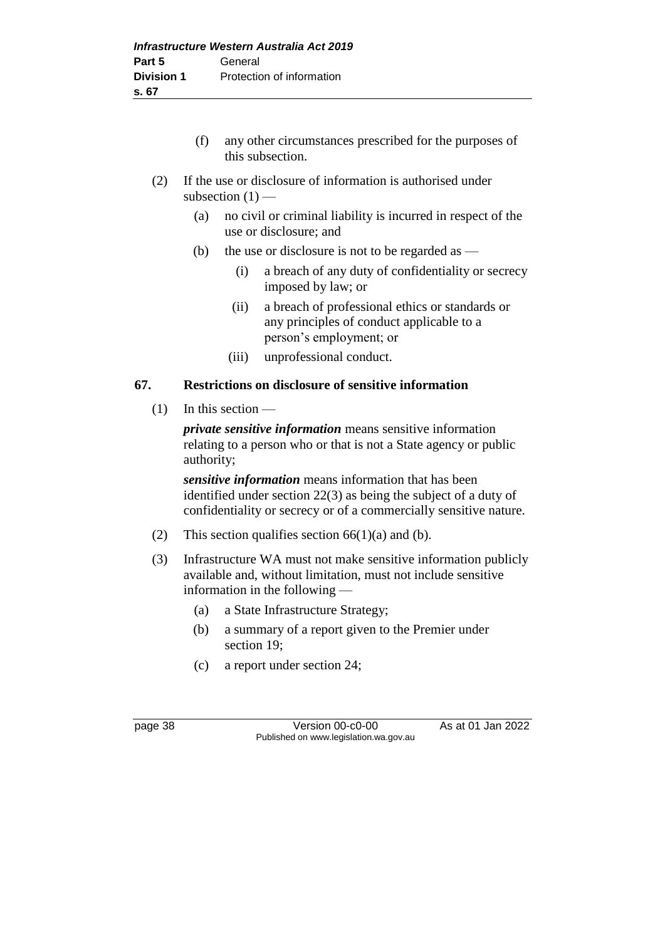- (f) any other circumstances prescribed for the purposes of this subsection.
- (2) If the use or disclosure of information is authorised under subsection  $(1)$  —
	- (a) no civil or criminal liability is incurred in respect of the use or disclosure; and
	- (b) the use or disclosure is not to be regarded as  $-$ 
		- (i) a breach of any duty of confidentiality or secrecy imposed by law; or
		- (ii) a breach of professional ethics or standards or any principles of conduct applicable to a person's employment; or
		- (iii) unprofessional conduct.

## **67. Restrictions on disclosure of sensitive information**

(1) In this section —

*private sensitive information* means sensitive information relating to a person who or that is not a State agency or public authority;

*sensitive information* means information that has been identified under section 22(3) as being the subject of a duty of confidentiality or secrecy or of a commercially sensitive nature.

- (2) This section qualifies section  $66(1)(a)$  and (b).
- (3) Infrastructure WA must not make sensitive information publicly available and, without limitation, must not include sensitive information in the following —
	- (a) a State Infrastructure Strategy;
	- (b) a summary of a report given to the Premier under section 19;
	- (c) a report under section 24;

page 38 Version 00-c0-00 As at 01 Jan 2022 Published on www.legislation.wa.gov.au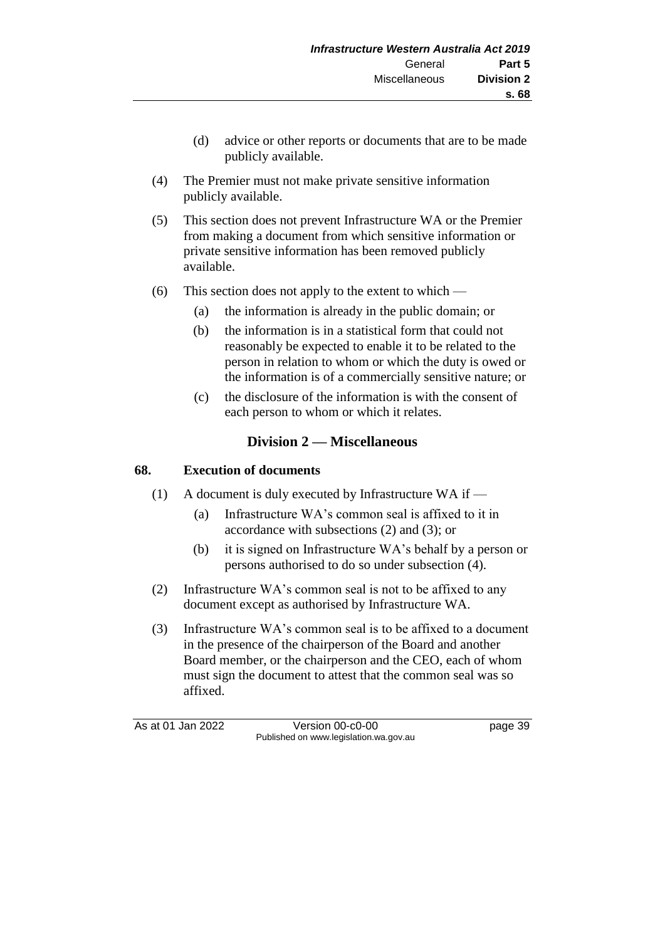- (d) advice or other reports or documents that are to be made publicly available.
- (4) The Premier must not make private sensitive information publicly available.
- (5) This section does not prevent Infrastructure WA or the Premier from making a document from which sensitive information or private sensitive information has been removed publicly available.
- (6) This section does not apply to the extent to which
	- (a) the information is already in the public domain; or
	- (b) the information is in a statistical form that could not reasonably be expected to enable it to be related to the person in relation to whom or which the duty is owed or the information is of a commercially sensitive nature; or
	- (c) the disclosure of the information is with the consent of each person to whom or which it relates.

## **Division 2 — Miscellaneous**

#### **68. Execution of documents**

- (1) A document is duly executed by Infrastructure WA if
	- (a) Infrastructure WA's common seal is affixed to it in accordance with subsections (2) and (3); or
	- (b) it is signed on Infrastructure WA's behalf by a person or persons authorised to do so under subsection (4).
- (2) Infrastructure WA's common seal is not to be affixed to any document except as authorised by Infrastructure WA.
- (3) Infrastructure WA's common seal is to be affixed to a document in the presence of the chairperson of the Board and another Board member, or the chairperson and the CEO, each of whom must sign the document to attest that the common seal was so affixed.

As at 01 Jan 2022 Version 00-c0-00 Page 39 Published on www.legislation.wa.gov.au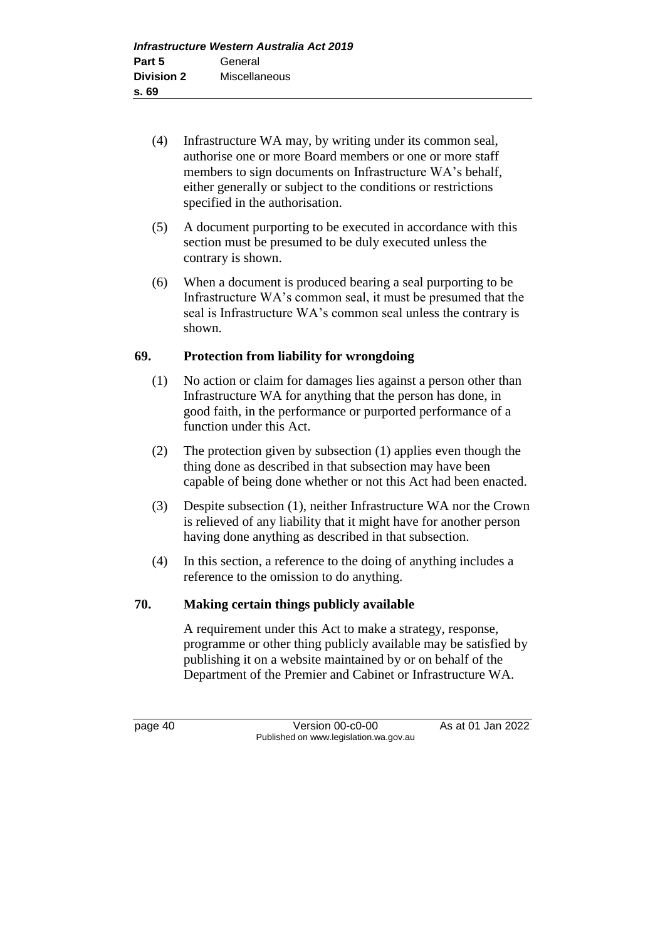- (4) Infrastructure WA may, by writing under its common seal, authorise one or more Board members or one or more staff members to sign documents on Infrastructure WA's behalf, either generally or subject to the conditions or restrictions specified in the authorisation.
- (5) A document purporting to be executed in accordance with this section must be presumed to be duly executed unless the contrary is shown.
- (6) When a document is produced bearing a seal purporting to be Infrastructure WA's common seal, it must be presumed that the seal is Infrastructure WA's common seal unless the contrary is shown.

## **69. Protection from liability for wrongdoing**

- (1) No action or claim for damages lies against a person other than Infrastructure WA for anything that the person has done, in good faith, in the performance or purported performance of a function under this Act.
- (2) The protection given by subsection (1) applies even though the thing done as described in that subsection may have been capable of being done whether or not this Act had been enacted.
- (3) Despite subsection (1), neither Infrastructure WA nor the Crown is relieved of any liability that it might have for another person having done anything as described in that subsection.
- (4) In this section, a reference to the doing of anything includes a reference to the omission to do anything.

## **70. Making certain things publicly available**

A requirement under this Act to make a strategy, response, programme or other thing publicly available may be satisfied by publishing it on a website maintained by or on behalf of the Department of the Premier and Cabinet or Infrastructure WA.

page 40 Version 00-c0-00 As at 01 Jan 2022 Published on www.legislation.wa.gov.au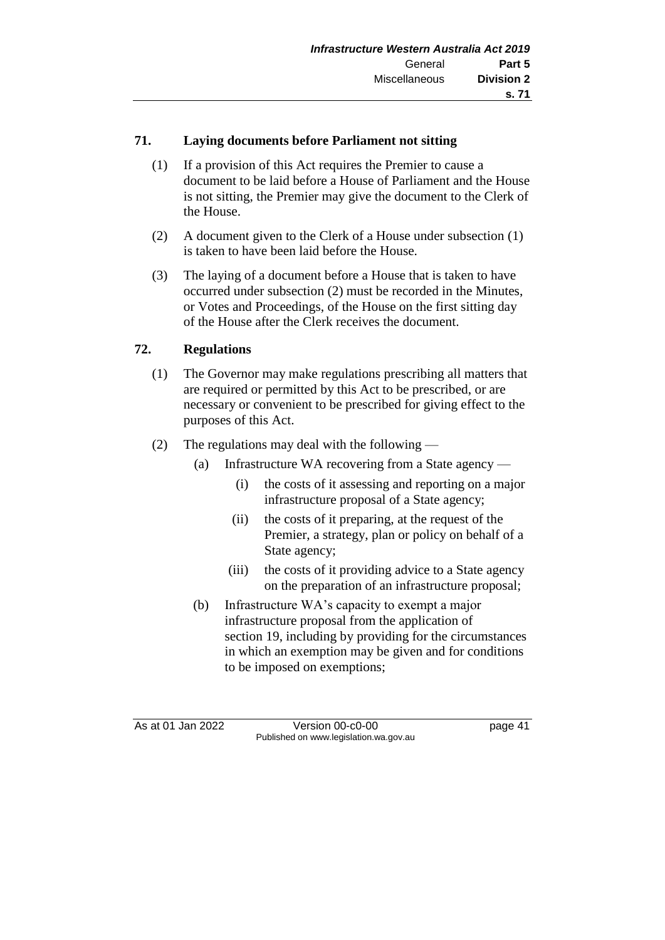## **71. Laying documents before Parliament not sitting**

- (1) If a provision of this Act requires the Premier to cause a document to be laid before a House of Parliament and the House is not sitting, the Premier may give the document to the Clerk of the House.
- (2) A document given to the Clerk of a House under subsection (1) is taken to have been laid before the House.
- (3) The laying of a document before a House that is taken to have occurred under subsection (2) must be recorded in the Minutes, or Votes and Proceedings, of the House on the first sitting day of the House after the Clerk receives the document.

## **72. Regulations**

- (1) The Governor may make regulations prescribing all matters that are required or permitted by this Act to be prescribed, or are necessary or convenient to be prescribed for giving effect to the purposes of this Act.
- (2) The regulations may deal with the following
	- (a) Infrastructure WA recovering from a State agency
		- (i) the costs of it assessing and reporting on a major infrastructure proposal of a State agency;
		- (ii) the costs of it preparing, at the request of the Premier, a strategy, plan or policy on behalf of a State agency;
		- (iii) the costs of it providing advice to a State agency on the preparation of an infrastructure proposal;
	- (b) Infrastructure WA's capacity to exempt a major infrastructure proposal from the application of section 19, including by providing for the circumstances in which an exemption may be given and for conditions to be imposed on exemptions;

As at 01 Jan 2022 Version 00-c0-00 page 41 Published on www.legislation.wa.gov.au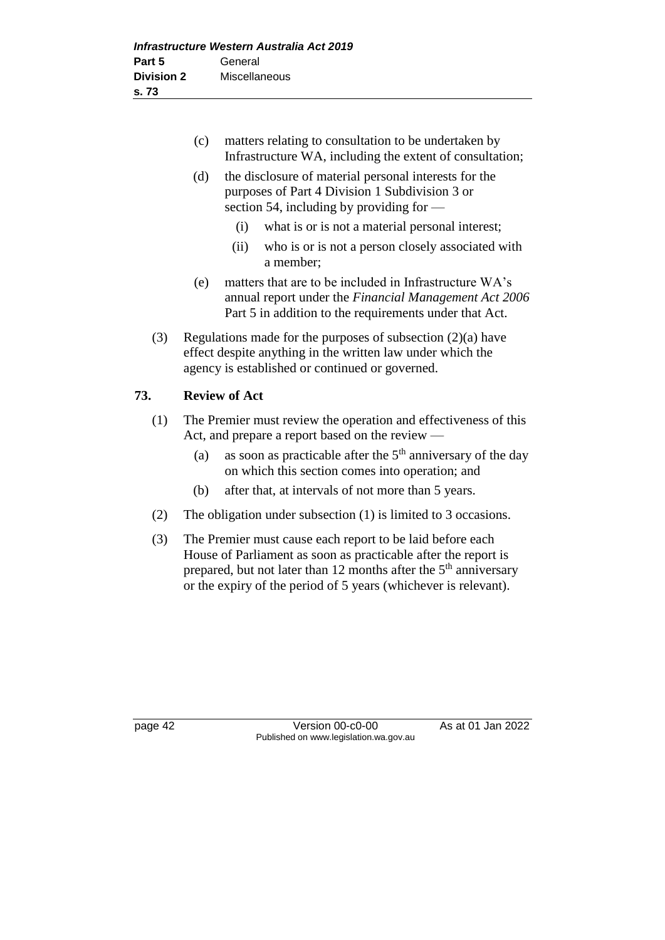|                                                        | (c)                                                                                                                                                                                                         | matters relating to consultation to be undertaken by<br>Infrastructure WA, including the extent of consultation;                                                               |  |  |
|--------------------------------------------------------|-------------------------------------------------------------------------------------------------------------------------------------------------------------------------------------------------------------|--------------------------------------------------------------------------------------------------------------------------------------------------------------------------------|--|--|
|                                                        | (d)                                                                                                                                                                                                         | the disclosure of material personal interests for the<br>purposes of Part 4 Division 1 Subdivision 3 or<br>section 54, including by providing for -                            |  |  |
|                                                        |                                                                                                                                                                                                             | (i)<br>what is or is not a material personal interest;                                                                                                                         |  |  |
|                                                        |                                                                                                                                                                                                             | who is or is not a person closely associated with<br>(ii)<br>a member;                                                                                                         |  |  |
|                                                        | (e)                                                                                                                                                                                                         | matters that are to be included in Infrastructure WA's<br>annual report under the Financial Management Act 2006<br>Part 5 in addition to the requirements under that Act.      |  |  |
| (3)                                                    |                                                                                                                                                                                                             | Regulations made for the purposes of subsection $(2)(a)$ have<br>effect despite anything in the written law under which the<br>agency is established or continued or governed. |  |  |
|                                                        |                                                                                                                                                                                                             | <b>Review of Act</b>                                                                                                                                                           |  |  |
| (1)<br>Act, and prepare a report based on the review — |                                                                                                                                                                                                             | The Premier must review the operation and effectiveness of this                                                                                                                |  |  |
|                                                        | (a)                                                                                                                                                                                                         | as soon as practicable after the $5th$ anniversary of the day<br>on which this section comes into operation; and                                                               |  |  |
|                                                        | (b)                                                                                                                                                                                                         | after that, at intervals of not more than 5 years.                                                                                                                             |  |  |
| (2)                                                    |                                                                                                                                                                                                             | The obligation under subsection $(1)$ is limited to 3 occasions.                                                                                                               |  |  |
| (3)                                                    | The Premier must cause each report to be laid before each<br>House of Parliament as soon as practicable after the report is<br>prepared, but not later than 12 months after the 5 <sup>th</sup> anniversary |                                                                                                                                                                                |  |  |

**73. Review of Act**

page 42 Version 00-c0-00 As at 01 Jan 2022 Published on www.legislation.wa.gov.au

or the expiry of the period of 5 years (whichever is relevant).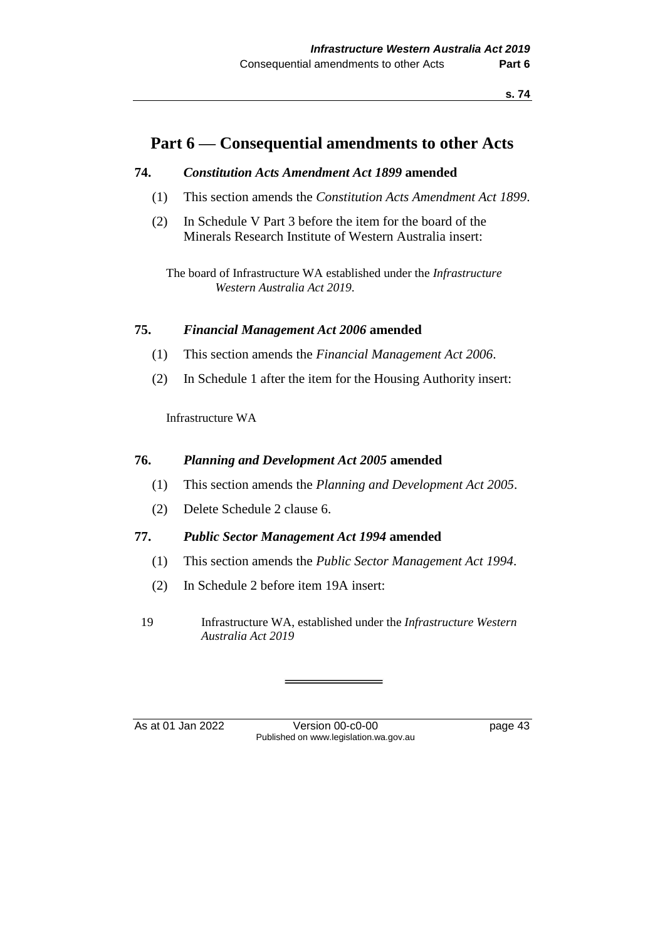## **Part 6 — Consequential amendments to other Acts**

#### **74.** *Constitution Acts Amendment Act 1899* **amended**

- (1) This section amends the *Constitution Acts Amendment Act 1899*.
- (2) In Schedule V Part 3 before the item for the board of the Minerals Research Institute of Western Australia insert:

The board of Infrastructure WA established under the *Infrastructure Western Australia Act 2019*.

#### **75.** *Financial Management Act 2006* **amended**

- (1) This section amends the *Financial Management Act 2006*.
- (2) In Schedule 1 after the item for the Housing Authority insert:

Infrastructure WA

#### **76.** *Planning and Development Act 2005* **amended**

- (1) This section amends the *Planning and Development Act 2005*.
- (2) Delete Schedule 2 clause 6.

#### **77.** *Public Sector Management Act 1994* **amended**

- (1) This section amends the *Public Sector Management Act 1994*.
- (2) In Schedule 2 before item 19A insert:
- 19 Infrastructure WA, established under the *Infrastructure Western Australia Act 2019*

As at 01 Jan 2022 Version 00-c0-00 Version 00-c0-00 Page 43 Published on www.legislation.wa.gov.au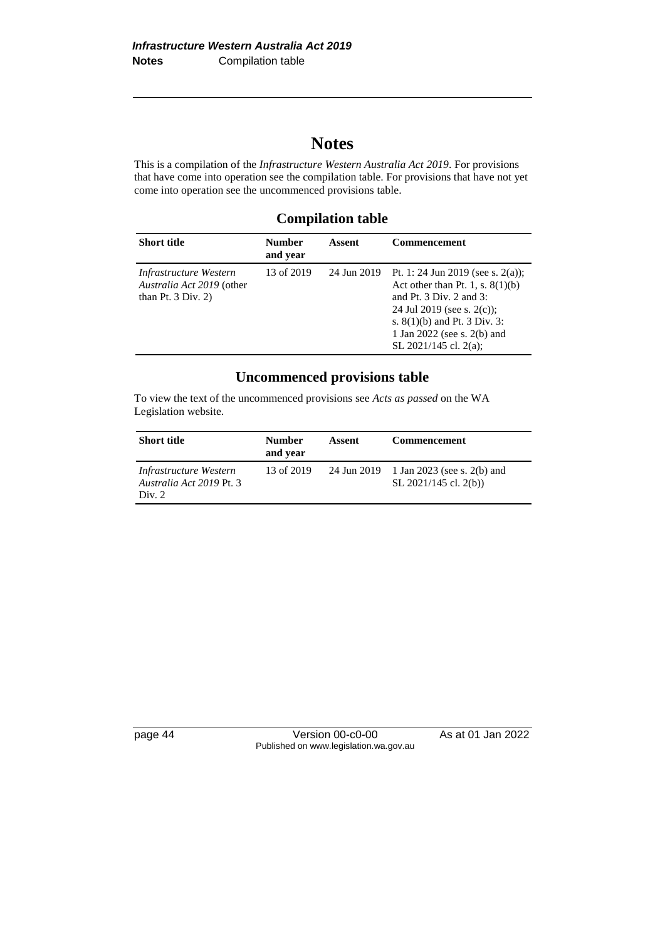## **Notes**

This is a compilation of the *Infrastructure Western Australia Act 2019*. For provisions that have come into operation see the compilation table. For provisions that have not yet come into operation see the uncommenced provisions table.

## **Compilation table**

| <b>Short title</b>                                                                   | <b>Number</b><br>and year | Assent      | <b>Commencement</b>                                                                                                                                                                                                                         |
|--------------------------------------------------------------------------------------|---------------------------|-------------|---------------------------------------------------------------------------------------------------------------------------------------------------------------------------------------------------------------------------------------------|
| Infrastructure Western<br>Australia Act 2019 (other<br>than Pt. $3 \text{ Div. } 2)$ | 13 of 2019                | 24 Jun 2019 | Pt. 1: 24 Jun 2019 (see s. 2(a));<br>Act other than Pt. 1, s. $8(1)(b)$<br>and Pt. $3 \text{ Div. } 2$ and $3$ :<br>24 Jul 2019 (see s. $2(c)$ );<br>s. $8(1)(b)$ and Pt. 3 Div. 3:<br>1 Jan 2022 (see s. 2(b) and<br>SL 2021/145 cl. 2(a); |

## **Uncommenced provisions table**

To view the text of the uncommenced provisions see *Acts as passed* on the WA Legislation website.

| <b>Short title</b>                                           | <b>Number</b><br>and year | Assent | <b>Commencement</b>                                                   |
|--------------------------------------------------------------|---------------------------|--------|-----------------------------------------------------------------------|
| Infrastructure Western<br>Australia Act 2019 Pt. 3<br>Div. 2 | 13 of 2019                |        | 24 Jun 2019 1 Jan 2023 (see s. 2(b) and<br>SL $2021/145$ cl. $2(b)$ ) |

page 44 Version 00-c0-00 As at 01 Jan 2022 Published on www.legislation.wa.gov.au